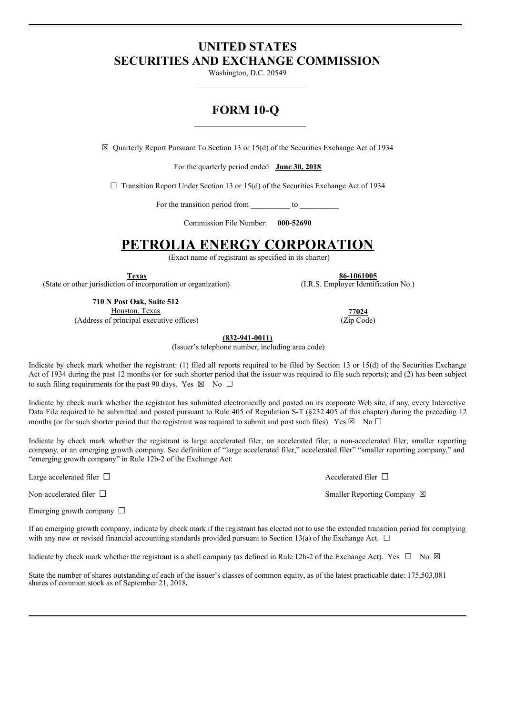# **UNITED STATES SECURITIES AND EXCHANGE COMMISSION**

Washington, D.C. 20549

# **FORM 10-Q**

☒ Quarterly Report Pursuant To Section 13 or 15(d) of the Securities Exchange Act of 1934

For the quarterly period ended **June 30, 2018**

 $\Box$  Transition Report Under Section 13 or 15(d) of the Securities Exchange Act of 1934

For the transition period from to

Commission File Number: **000-52690**

# **PETROLIA ENERGY CORPORATION**

(Exact name of registrant as specified in its charter)

**Texas 86-1061005**

(State or other jurisdiction of incorporation or organization) (I.R.S. Employer Identification No.)

**710 N Post Oak, Suite 512**

Houston, Texas **77024** (Address of principal executive offices) (Zip Code)

**(832-941-0011)**

(Issuer's telephone number, including area code)

Indicate by check mark whether the registrant: (1) filed all reports required to be filed by Section 13 or 15(d) of the Securities Exchange Act of 1934 during the past 12 months (or for such shorter period that the issuer was required to file such reports); and (2) has been subject to such filing requirements for the past 90 days. Yes  $\boxtimes$  No  $\Box$ 

Indicate by check mark whether the registrant has submitted electronically and posted on its corporate Web site, if any, every Interactive Data File required to be submitted and posted pursuant to Rule 405 of Regulation S-T (§232.405 of this chapter) during the preceding 12 months (or for such shorter period that the registrant was required to submit and post such files). Yes  $\boxtimes$  No  $\square$ 

Indicate by check mark whether the registrant is large accelerated filer, an accelerated filer, a non-accelerated filer, smaller reporting company, or an emerging growth company. See definition of "large accelerated filer," accelerated filer" "smaller reporting company," and "emerging growth company" in Rule 12b-2 of the Exchange Act:

Large accelerated filer □ and set of our set of our set of our set of our set of our set of our set of our set of our set of our set of our set of our set of our set of our set of our set of our set of our set of our set

Emerging growth company  $\Box$ 

If an emerging growth company, indicate by check mark if the registrant has elected not to use the extended transition period for complying with any new or revised financial accounting standards provided pursuant to Section 13(a) of the Exchange Act.  $\Box$ 

Indicate by check mark whether the registrant is a shell company (as defined in Rule 12b-2 of the Exchange Act). Yes  $\Box$  No  $\boxtimes$ 

State the number of shares outstanding of each of the issuer's classes of common equity, as of the latest practicable date: 175,503,081 shares of common stock as of September 21, 2018**.**

Non-accelerated filer <del>□</del> smaller Reporting Company ⊠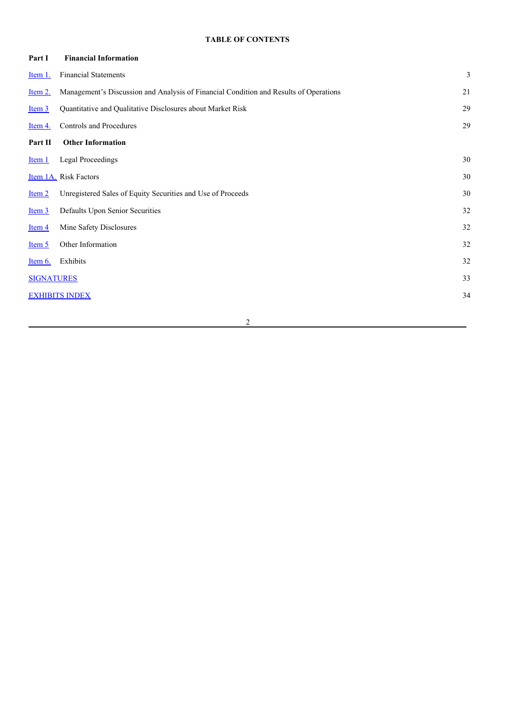| Part I            | <b>Financial Information</b>                                                          |        |
|-------------------|---------------------------------------------------------------------------------------|--------|
| Item 1.           | <b>Financial Statements</b>                                                           | 3      |
| Item 2.           | Management's Discussion and Analysis of Financial Condition and Results of Operations | 21     |
| Item $3$          | Quantitative and Qualitative Disclosures about Market Risk                            | 29     |
| Item $4.$         | Controls and Procedures                                                               | 29     |
| Part II           | <b>Other Information</b>                                                              |        |
| Item $1$          | <b>Legal Proceedings</b>                                                              | 30     |
|                   | Item 1A. Risk Factors                                                                 | $30\,$ |
| Item $2$          | Unregistered Sales of Equity Securities and Use of Proceeds                           | 30     |
| Item 3            | Defaults Upon Senior Securities                                                       | 32     |
| Item $4$          | Mine Safety Disclosures                                                               | 32     |
| Item $5$          | Other Information                                                                     | 32     |
| Item $6.$         | Exhibits                                                                              | 32     |
| <b>SIGNATURES</b> |                                                                                       | 33     |
|                   | <b>EXHIBITS INDEX</b>                                                                 | 34     |
|                   |                                                                                       |        |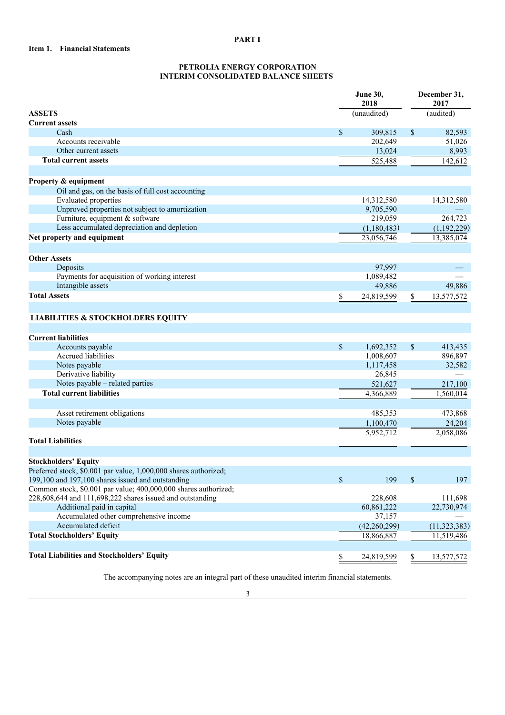# **PETROLIA ENERGY CORPORATION INTERIM CONSOLIDATED BALANCE SHEETS**

|                                                                  | June 30,<br>2018 |              |    | December 31,<br>2017 |  |  |  |
|------------------------------------------------------------------|------------------|--------------|----|----------------------|--|--|--|
| <b>ASSETS</b>                                                    |                  | (unaudited)  |    | (audited)            |  |  |  |
| <b>Current assets</b>                                            |                  |              |    |                      |  |  |  |
| Cash                                                             | \$               | 309,815      | \$ | 82,593               |  |  |  |
| Accounts receivable                                              |                  | 202,649      |    | 51,026               |  |  |  |
| Other current assets                                             |                  | 13,024       |    | 8,993                |  |  |  |
| <b>Total current assets</b>                                      |                  | 525,488      |    | 142,612              |  |  |  |
|                                                                  |                  |              |    |                      |  |  |  |
| Property & equipment                                             |                  |              |    |                      |  |  |  |
| Oil and gas, on the basis of full cost accounting                |                  |              |    |                      |  |  |  |
| <b>Evaluated properties</b>                                      |                  | 14,312,580   |    | 14,312,580           |  |  |  |
| Unproved properties not subject to amortization                  |                  | 9,705,590    |    |                      |  |  |  |
| Furniture, equipment & software                                  |                  | 219,059      |    | 264,723              |  |  |  |
| Less accumulated depreciation and depletion                      |                  | (1,180,483)  |    | (1,192,229)          |  |  |  |
| Net property and equipment                                       |                  | 23,056,746   |    | 13,385,074           |  |  |  |
|                                                                  |                  |              |    |                      |  |  |  |
| <b>Other Assets</b>                                              |                  |              |    |                      |  |  |  |
| Deposits                                                         |                  | 97,997       |    |                      |  |  |  |
| Payments for acquisition of working interest                     |                  | 1,089,482    |    |                      |  |  |  |
| Intangible assets                                                |                  | 49,886       |    | 49,886               |  |  |  |
| <b>Total Assets</b>                                              | \$               | 24,819,599   | \$ | 13,577,572           |  |  |  |
|                                                                  |                  |              |    |                      |  |  |  |
|                                                                  |                  |              |    |                      |  |  |  |
| <b>LIABILITIES &amp; STOCKHOLDERS EQUITY</b>                     |                  |              |    |                      |  |  |  |
| <b>Current liabilities</b>                                       |                  |              |    |                      |  |  |  |
| Accounts payable                                                 | $\mathbb{S}$     | 1,692,352    | \$ | 413,435              |  |  |  |
| Accrued liabilities                                              |                  | 1,008,607    |    | 896,897              |  |  |  |
| Notes payable                                                    |                  | 1,117,458    |    | 32,582               |  |  |  |
| Derivative liability                                             |                  | 26,845       |    |                      |  |  |  |
| Notes payable - related parties                                  |                  | 521,627      |    | 217,100              |  |  |  |
| <b>Total current liabilities</b>                                 |                  | 4,366,889    |    | 1,560,014            |  |  |  |
| Asset retirement obligations                                     |                  | 485,353      |    | 473,868              |  |  |  |
| Notes payable                                                    |                  | 1,100,470    |    | 24,204               |  |  |  |
|                                                                  |                  | 5,952,712    |    | 2,058,086            |  |  |  |
| <b>Total Liabilities</b>                                         |                  |              |    |                      |  |  |  |
|                                                                  |                  |              |    |                      |  |  |  |
| <b>Stockholders' Equity</b>                                      |                  |              |    |                      |  |  |  |
| Preferred stock, \$0.001 par value, 1,000,000 shares authorized; |                  |              |    |                      |  |  |  |
| 199,100 and 197,100 shares issued and outstanding                | $\$$             | 199          | \$ | 197                  |  |  |  |
| Common stock, \$0.001 par value; 400,000,000 shares authorized;  |                  |              |    |                      |  |  |  |
| 228,608,644 and 111,698,222 shares issued and outstanding        |                  | 228,608      |    | 111,698              |  |  |  |
| Additional paid in capital                                       |                  | 60,861,222   |    | 22,730,974           |  |  |  |
| Accumulated other comprehensive income                           |                  | 37,157       |    |                      |  |  |  |
| Accumulated deficit                                              |                  | (42,260,299) |    | (11, 323, 383)       |  |  |  |
| <b>Total Stockholders' Equity</b>                                |                  | 18,866,887   |    | 11,519,486           |  |  |  |
|                                                                  |                  |              |    |                      |  |  |  |
| <b>Total Liabilities and Stockholders' Equity</b>                | S.               | 24,819,599   | \$ | 13,577,572           |  |  |  |
|                                                                  |                  |              |    |                      |  |  |  |

The accompanying notes are an integral part of these unaudited interim financial statements.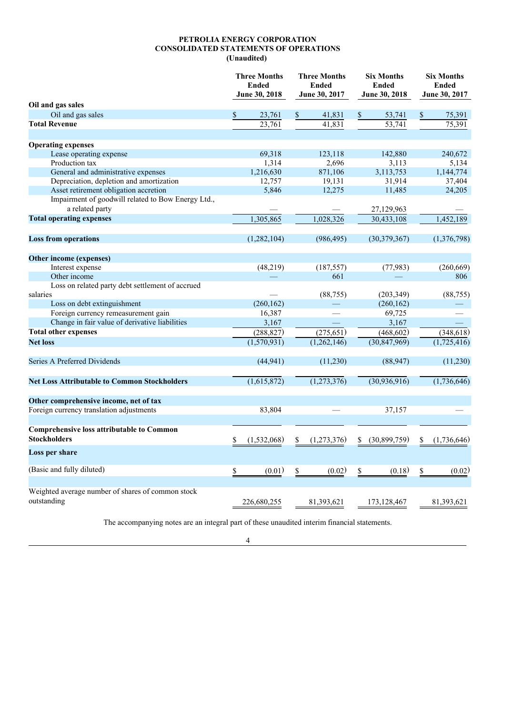# **PETROLIA ENERGY CORPORATION CONSOLIDATED STATEMENTS OF OPERATIONS (Unaudited)**

|                                                                         |    | <b>Three Months</b><br><b>Ended</b><br>June 30, 2018 |    | <b>Three Months</b><br><b>Ended</b><br>June 30, 2017 |    | <b>Six Months</b><br>Ended<br>June 30, 2018 |    | <b>Six Months</b><br><b>Ended</b><br>June 30, 2017 |
|-------------------------------------------------------------------------|----|------------------------------------------------------|----|------------------------------------------------------|----|---------------------------------------------|----|----------------------------------------------------|
| Oil and gas sales                                                       |    |                                                      |    |                                                      |    |                                             |    |                                                    |
| Oil and gas sales                                                       | \$ | 23,761                                               | \$ | 41,831                                               | \$ | 53,741                                      | \$ | 75,391                                             |
| <b>Total Revenue</b>                                                    |    | 23,761                                               |    | 41,831                                               |    | 53,741                                      |    | 75,391                                             |
|                                                                         |    |                                                      |    |                                                      |    |                                             |    |                                                    |
| <b>Operating expenses</b>                                               |    |                                                      |    |                                                      |    |                                             |    |                                                    |
| Lease operating expense                                                 |    | 69,318                                               |    | 123,118                                              |    | 142,880                                     |    | 240,672                                            |
| Production tax                                                          |    | 1,314                                                |    | 2,696                                                |    | 3,113                                       |    | 5,134                                              |
| General and administrative expenses                                     |    | 1,216,630                                            |    | 871,106                                              |    | 3,113,753                                   |    | 1,144,774                                          |
| Depreciation, depletion and amortization                                |    | 12,757                                               |    | 19,131                                               |    | 31,914                                      |    | 37,404                                             |
| Asset retirement obligation accretion                                   |    | 5,846                                                |    | 12,275                                               |    | 11,485                                      |    | 24,205                                             |
| Impairment of goodwill related to Bow Energy Ltd.,<br>a related party   |    |                                                      |    |                                                      |    | 27,129,963                                  |    |                                                    |
| <b>Total operating expenses</b>                                         |    | 1,305,865                                            |    | 1,028,326                                            |    | 30,433,108                                  |    | 1,452,189                                          |
|                                                                         |    |                                                      |    |                                                      |    |                                             |    |                                                    |
| <b>Loss from operations</b>                                             |    | (1,282,104)                                          |    | (986, 495)                                           |    | (30, 379, 367)                              |    | (1,376,798)                                        |
| Other income (expenses)                                                 |    |                                                      |    |                                                      |    |                                             |    |                                                    |
| Interest expense                                                        |    | (48, 219)                                            |    | (187, 557)                                           |    | (77, 983)                                   |    | (260, 669)                                         |
| Other income                                                            |    |                                                      |    | 661                                                  |    |                                             |    | 806                                                |
| Loss on related party debt settlement of accrued                        |    |                                                      |    |                                                      |    |                                             |    |                                                    |
| salaries                                                                |    |                                                      |    | (88, 755)                                            |    | (203, 349)                                  |    | (88, 755)                                          |
| Loss on debt extinguishment                                             |    | (260, 162)                                           |    |                                                      |    | (260, 162)                                  |    |                                                    |
| Foreign currency remeasurement gain                                     |    | 16,387                                               |    |                                                      |    | 69,725                                      |    |                                                    |
| Change in fair value of derivative liabilities                          |    | 3,167                                                |    |                                                      |    | 3,167                                       |    |                                                    |
| <b>Total other expenses</b>                                             |    | (288, 827)                                           |    | (275, 651)                                           |    | (468, 602)                                  |    | (348, 618)                                         |
| <b>Net loss</b>                                                         |    | (1,570,931)                                          |    | (1,262,146)                                          |    | (30, 847, 969)                              |    | (1,725,416)                                        |
|                                                                         |    |                                                      |    |                                                      |    |                                             |    |                                                    |
| Series A Preferred Dividends                                            |    | (44, 941)                                            |    | (11,230)                                             |    | (88, 947)                                   |    | (11,230)                                           |
| <b>Net Loss Attributable to Common Stockholders</b>                     |    | (1,615,872)                                          |    | (1,273,376)                                          |    | (30,936,916)                                |    | (1,736,646)                                        |
| Other comprehensive income, net of tax                                  |    |                                                      |    |                                                      |    |                                             |    |                                                    |
| Foreign currency translation adjustments                                |    | 83,804                                               |    |                                                      |    | 37,157                                      |    |                                                    |
|                                                                         |    |                                                      |    |                                                      |    |                                             |    |                                                    |
| <b>Comprehensive loss attributable to Common</b><br><b>Stockholders</b> | \$ | (1,532,068)                                          | \$ | (1,273,376)                                          | \$ | (30,899,759)                                | \$ | (1,736,646)                                        |
| Loss per share                                                          |    |                                                      |    |                                                      |    |                                             |    |                                                    |
| (Basic and fully diluted)                                               | \$ | (0.01)                                               | \$ | (0.02)                                               | \$ | (0.18)                                      | \$ | (0.02)                                             |
|                                                                         |    |                                                      |    |                                                      |    |                                             |    |                                                    |
| Weighted average number of shares of common stock<br>outstanding        |    | 226,680,255                                          |    | 81,393,621                                           |    | 173, 128, 467                               |    | 81,393,621                                         |

The accompanying notes are an integral part of these unaudited interim financial statements.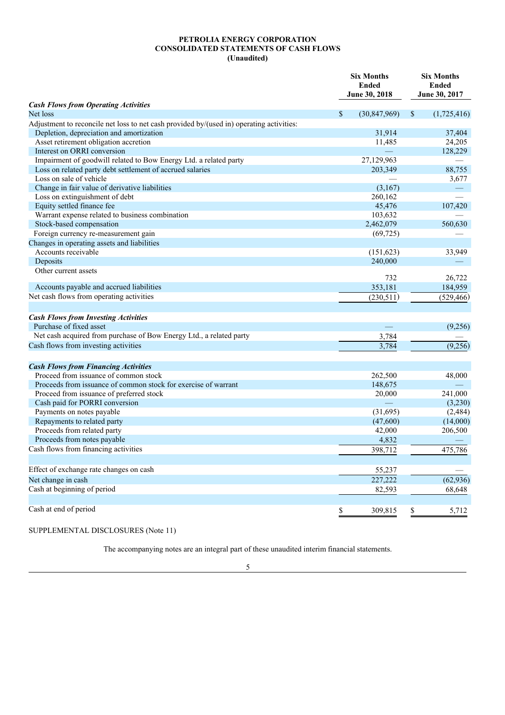# **PETROLIA ENERGY CORPORATION CONSOLIDATED STATEMENTS OF CASH FLOWS (Unaudited)**

|                                                                                          | <b>Six Months</b><br>Ended<br>June 30, 2018 | <b>Six Months</b><br><b>Ended</b><br>June 30, 2017 |             |  |
|------------------------------------------------------------------------------------------|---------------------------------------------|----------------------------------------------------|-------------|--|
| <b>Cash Flows from Operating Activities</b>                                              |                                             |                                                    |             |  |
| Net loss                                                                                 | \$<br>(30, 847, 969)                        | $\mathbb{S}$                                       | (1,725,416) |  |
| Adjustment to reconcile net loss to net cash provided by/(used in) operating activities: |                                             |                                                    |             |  |
| Depletion, depreciation and amortization                                                 | 31,914                                      |                                                    | 37,404      |  |
| Asset retirement obligation accretion                                                    | 11,485                                      |                                                    | 24,205      |  |
| Interest on ORRI conversion                                                              |                                             |                                                    | 128,229     |  |
| Impairment of goodwill related to Bow Energy Ltd. a related party                        | 27,129,963                                  |                                                    |             |  |
| Loss on related party debt settlement of accrued salaries                                | 203,349                                     |                                                    | 88,755      |  |
| Loss on sale of vehicle                                                                  |                                             |                                                    | 3,677       |  |
| Change in fair value of derivative liabilities                                           | (3,167)                                     |                                                    |             |  |
| Loss on extinguishment of debt                                                           | 260,162                                     |                                                    |             |  |
| Equity settled finance fee                                                               | 45,476                                      |                                                    | 107,420     |  |
| Warrant expense related to business combination                                          | 103,632                                     |                                                    |             |  |
| Stock-based compensation                                                                 | 2,462,079                                   |                                                    | 560,630     |  |
| Foreign currency re-measurement gain                                                     | (69, 725)                                   |                                                    |             |  |
| Changes in operating assets and liabilities                                              |                                             |                                                    |             |  |
| Accounts receivable                                                                      | (151, 623)                                  |                                                    | 33,949      |  |
| Deposits                                                                                 | 240,000                                     |                                                    |             |  |
| Other current assets                                                                     | 732                                         |                                                    | 26,722      |  |
| Accounts payable and accrued liabilities                                                 | 353,181                                     |                                                    | 184,959     |  |
| Net cash flows from operating activities                                                 | (230, 511)                                  |                                                    | (529, 466)  |  |
|                                                                                          |                                             |                                                    |             |  |
| <b>Cash Flows from Investing Activities</b>                                              |                                             |                                                    |             |  |
| Purchase of fixed asset                                                                  |                                             |                                                    | (9,256)     |  |
| Net cash acquired from purchase of Bow Energy Ltd., a related party                      | 3,784                                       |                                                    |             |  |
| Cash flows from investing activities                                                     | 3,784                                       |                                                    | (9,256)     |  |
| <b>Cash Flows from Financing Activities</b>                                              |                                             |                                                    |             |  |
| Proceed from issuance of common stock                                                    | 262,500                                     |                                                    | 48,000      |  |
| Proceeds from issuance of common stock for exercise of warrant                           | 148,675                                     |                                                    |             |  |
| Proceed from issuance of preferred stock                                                 | 20,000                                      |                                                    | 241,000     |  |
| Cash paid for PORRI conversion                                                           |                                             |                                                    | (3,230)     |  |
| Payments on notes payable                                                                | (31,695)                                    |                                                    | (2,484)     |  |
| Repayments to related party                                                              | (47,600)                                    |                                                    | (14,000)    |  |
| Proceeds from related party                                                              | 42,000                                      |                                                    | 206,500     |  |
| Proceeds from notes payable                                                              | 4,832                                       |                                                    |             |  |
| Cash flows from financing activities                                                     | 398,712                                     |                                                    | 475,786     |  |
|                                                                                          |                                             |                                                    |             |  |
| Effect of exchange rate changes on cash                                                  | 55,237                                      |                                                    |             |  |
| Net change in cash                                                                       | 227,222                                     |                                                    | (62, 936)   |  |
| Cash at beginning of period                                                              | 82,593                                      |                                                    | 68,648      |  |
|                                                                                          |                                             |                                                    |             |  |
| Cash at end of period                                                                    | \$<br>309,815                               | \$                                                 | 5,712       |  |

# SUPPLEMENTAL DISCLOSURES (Note 11)

The accompanying notes are an integral part of these unaudited interim financial statements.

5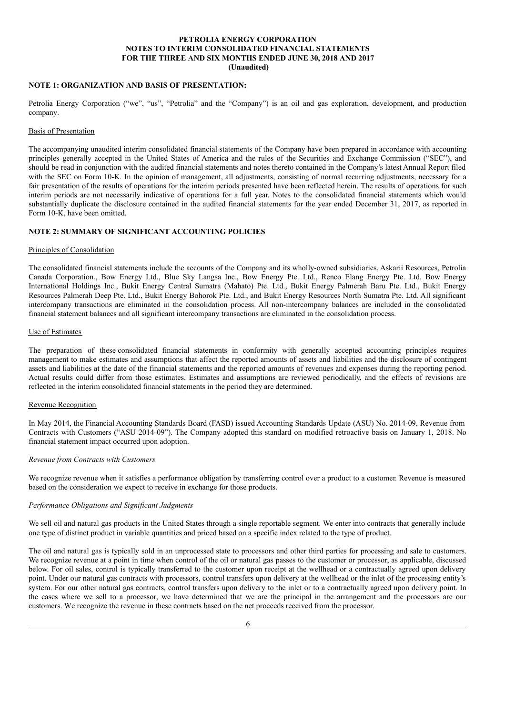#### **PETROLIA ENERGY CORPORATION NOTES TO INTERIM CONSOLIDATED FINANCIAL STATEMENTS FOR THE THREE AND SIX MONTHS ENDED JUNE 30, 2018 AND 2017 (Unaudited)**

#### **NOTE 1: ORGANIZATION AND BASIS OF PRESENTATION:**

Petrolia Energy Corporation ("we", "us", "Petrolia" and the "Company") is an oil and gas exploration, development, and production company.

#### Basis of Presentation

The accompanying unaudited interim consolidated financial statements of the Company have been prepared in accordance with accounting principles generally accepted in the United States of America and the rules of the Securities and Exchange Commission ("SEC"), and should be read in conjunction with the audited financial statements and notes thereto contained in the Company's latest Annual Report filed with the SEC on Form 10-K. In the opinion of management, all adjustments, consisting of normal recurring adjustments, necessary for a fair presentation of the results of operations for the interim periods presented have been reflected herein. The results of operations for such interim periods are not necessarily indicative of operations for a full year. Notes to the consolidated financial statements which would substantially duplicate the disclosure contained in the audited financial statements for the year ended December 31, 2017, as reported in Form 10-K, have been omitted.

# **NOTE 2: SUMMARY OF SIGNIFICANT ACCOUNTING POLICIES**

#### Principles of Consolidation

The consolidated financial statements include the accounts of the Company and its wholly-owned subsidiaries, Askarii Resources, Petrolia Canada Corporation., Bow Energy Ltd., Blue Sky Langsa Inc., Bow Energy Pte. Ltd., Renco Elang Energy Pte. Ltd. Bow Energy International Holdings Inc., Bukit Energy Central Sumatra (Mahato) Pte. Ltd., Bukit Energy Palmerah Baru Pte. Ltd., Bukit Energy Resources Palmerah Deep Pte. Ltd., Bukit Energy Bohorok Pte. Ltd., and Bukit Energy Resources North Sumatra Pte. Ltd. All significant intercompany transactions are eliminated in the consolidation process. All non-intercompany balances are included in the consolidated financial statement balances and all significant intercompany transactions are eliminated in the consolidation process.

#### Use of Estimates

The preparation of these consolidated financial statements in conformity with generally accepted accounting principles requires management to make estimates and assumptions that affect the reported amounts of assets and liabilities and the disclosure of contingent assets and liabilities at the date of the financial statements and the reported amounts of revenues and expenses during the reporting period. Actual results could differ from those estimates. Estimates and assumptions are reviewed periodically, and the effects of revisions are reflected in the interim consolidated financial statements in the period they are determined.

#### Revenue Recognition

In May 2014, the Financial Accounting Standards Board (FASB) issued Accounting Standards Update (ASU) No. 2014-09, Revenue from Contracts with Customers ("ASU 2014-09"). The Company adopted this standard on modified retroactive basis on January 1, 2018. No financial statement impact occurred upon adoption.

#### *Revenue from Contracts with Customers*

We recognize revenue when it satisfies a performance obligation by transferring control over a product to a customer. Revenue is measured based on the consideration we expect to receive in exchange for those products.

# *Performance Obligations and Significant Judgments*

We sell oil and natural gas products in the United States through a single reportable segment. We enter into contracts that generally include one type of distinct product in variable quantities and priced based on a specific index related to the type of product.

The oil and natural gas is typically sold in an unprocessed state to processors and other third parties for processing and sale to customers. We recognize revenue at a point in time when control of the oil or natural gas passes to the customer or processor, as applicable, discussed below. For oil sales, control is typically transferred to the customer upon receipt at the wellhead or a contractually agreed upon delivery point. Under our natural gas contracts with processors, control transfers upon delivery at the wellhead or the inlet of the processing entity's system. For our other natural gas contracts, control transfers upon delivery to the inlet or to a contractually agreed upon delivery point. In the cases where we sell to a processor, we have determined that we are the principal in the arrangement and the processors are our customers. We recognize the revenue in these contracts based on the net proceeds received from the processor.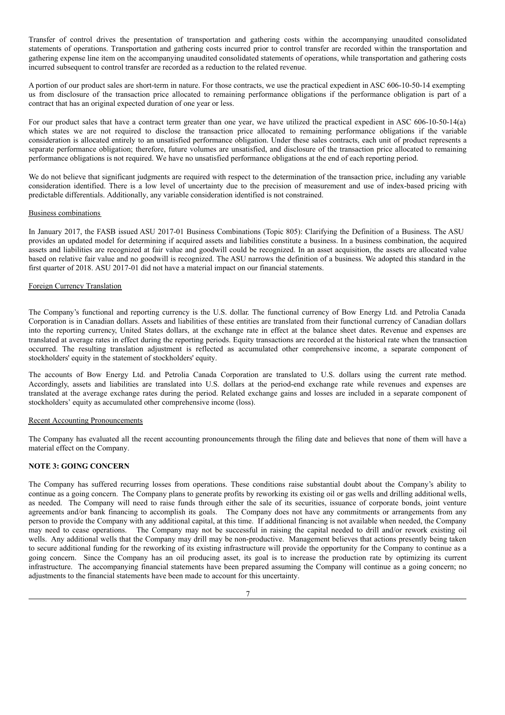Transfer of control drives the presentation of transportation and gathering costs within the accompanying unaudited consolidated statements of operations. Transportation and gathering costs incurred prior to control transfer are recorded within the transportation and gathering expense line item on the accompanying unaudited consolidated statements of operations, while transportation and gathering costs incurred subsequent to control transfer are recorded as a reduction to the related revenue.

A portion of our product sales are short-term in nature. For those contracts, we use the practical expedient in ASC 606-10-50-14 exempting us from disclosure of the transaction price allocated to remaining performance obligations if the performance obligation is part of a contract that has an original expected duration of one year or less.

For our product sales that have a contract term greater than one year, we have utilized the practical expedient in ASC 606-10-50-14(a) which states we are not required to disclose the transaction price allocated to remaining performance obligations if the variable consideration is allocated entirely to an unsatisfied performance obligation. Under these sales contracts, each unit of product represents a separate performance obligation; therefore, future volumes are unsatisfied, and disclosure of the transaction price allocated to remaining performance obligations is not required. We have no unsatisfied performance obligations at the end of each reporting period.

We do not believe that significant judgments are required with respect to the determination of the transaction price, including any variable consideration identified. There is a low level of uncertainty due to the precision of measurement and use of index-based pricing with predictable differentials. Additionally, any variable consideration identified is not constrained.

# Business combinations

In January 2017, the FASB issued ASU 2017-01 Business Combinations (Topic 805): Clarifying the Definition of a Business. The ASU provides an updated model for determining if acquired assets and liabilities constitute a business. In a business combination, the acquired assets and liabilities are recognized at fair value and goodwill could be recognized. In an asset acquisition, the assets are allocated value based on relative fair value and no goodwill is recognized. The ASU narrows the definition of a business. We adopted this standard in the first quarter of 2018. ASU 2017-01 did not have a material impact on our financial statements.

# Foreign Currency Translation

The Company's functional and reporting currency is the U.S. dollar. The functional currency of Bow Energy Ltd. and Petrolia Canada Corporation is in Canadian dollars. Assets and liabilities of these entities are translated from their functional currency of Canadian dollars into the reporting currency, United States dollars, at the exchange rate in effect at the balance sheet dates. Revenue and expenses are translated at average rates in effect during the reporting periods. Equity transactions are recorded at the historical rate when the transaction occurred. The resulting translation adjustment is reflected as accumulated other comprehensive income, a separate component of stockholders' equity in the statement of stockholders' equity.

The accounts of Bow Energy Ltd. and Petrolia Canada Corporation are translated to U.S. dollars using the current rate method. Accordingly, assets and liabilities are translated into U.S. dollars at the period-end exchange rate while revenues and expenses are translated at the average exchange rates during the period. Related exchange gains and losses are included in a separate component of stockholders' equity as accumulated other comprehensive income (loss).

#### Recent Accounting Pronouncements

The Company has evaluated all the recent accounting pronouncements through the filing date and believes that none of them will have a material effect on the Company.

# **NOTE 3: GOING CONCERN**

The Company has suffered recurring losses from operations. These conditions raise substantial doubt about the Company's ability to continue as a going concern. The Company plans to generate profits by reworking its existing oil or gas wells and drilling additional wells, as needed. The Company will need to raise funds through either the sale of its securities, issuance of corporate bonds, joint venture agreements and/or bank financing to accomplish its goals. The Company does not have any commitments or arrangements from any person to provide the Company with any additional capital, at this time. If additional financing is not available when needed, the Company may need to cease operations. The Company may not be successful in raising the capital needed to drill and/or rework existing oil wells. Any additional wells that the Company may drill may be non-productive. Management believes that actions presently being taken to secure additional funding for the reworking of its existing infrastructure will provide the opportunity for the Company to continue as a going concern. Since the Company has an oil producing asset, its goal is to increase the production rate by optimizing its current infrastructure. The accompanying financial statements have been prepared assuming the Company will continue as a going concern; no adjustments to the financial statements have been made to account for this uncertainty.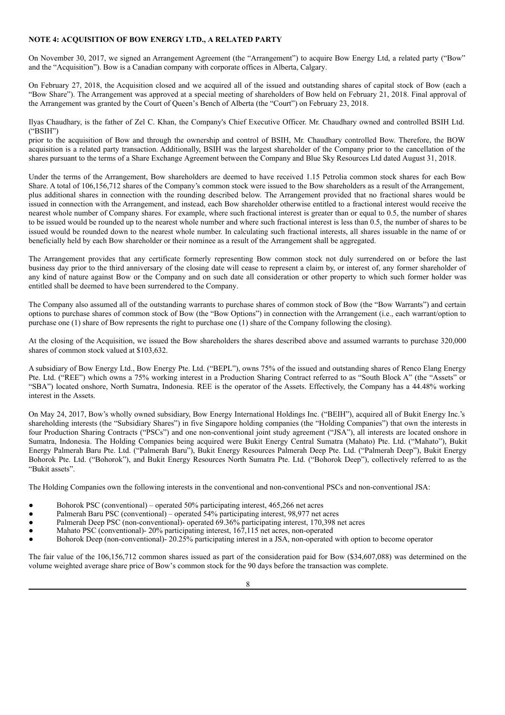# **NOTE 4: ACQUISITION OF BOW ENERGY LTD., A RELATED PARTY**

On November 30, 2017, we signed an Arrangement Agreement (the "Arrangement") to acquire Bow Energy Ltd, a related party ("Bow" and the "Acquisition"). Bow is a Canadian company with corporate offices in Alberta, Calgary.

On February 27, 2018, the Acquisition closed and we acquired all of the issued and outstanding shares of capital stock of Bow (each a "Bow Share"). The Arrangement was approved at a special meeting of shareholders of Bow held on February 21, 2018. Final approval of the Arrangement was granted by the Court of Queen's Bench of Alberta (the "Court") on February 23, 2018.

Ilyas Chaudhary, is the father of Zel C. Khan, the Company's Chief Executive Officer. Mr. Chaudhary owned and controlled BSIH Ltd. ("BSIH")

prior to the acquisition of Bow and through the ownership and control of BSIH, Mr. Chaudhary controlled Bow. Therefore, the BOW acquisition is a related party transaction. Additionally, BSIH was the largest shareholder of the Company prior to the cancellation of the shares pursuant to the terms of a Share Exchange Agreement between the Company and Blue Sky Resources Ltd dated August 31, 2018.

Under the terms of the Arrangement, Bow shareholders are deemed to have received 1.15 Petrolia common stock shares for each Bow Share. A total of 106,156,712 shares of the Company's common stock were issued to the Bow shareholders as a result of the Arrangement, plus additional shares in connection with the rounding described below. The Arrangement provided that no fractional shares would be issued in connection with the Arrangement, and instead, each Bow shareholder otherwise entitled to a fractional interest would receive the nearest whole number of Company shares. For example, where such fractional interest is greater than or equal to 0.5, the number of shares to be issued would be rounded up to the nearest whole number and where such fractional interest is less than 0.5, the number of shares to be issued would be rounded down to the nearest whole number. In calculating such fractional interests, all shares issuable in the name of or beneficially held by each Bow shareholder or their nominee as a result of the Arrangement shall be aggregated.

The Arrangement provides that any certificate formerly representing Bow common stock not duly surrendered on or before the last business day prior to the third anniversary of the closing date will cease to represent a claim by, or interest of, any former shareholder of any kind of nature against Bow or the Company and on such date all consideration or other property to which such former holder was entitled shall be deemed to have been surrendered to the Company.

The Company also assumed all of the outstanding warrants to purchase shares of common stock of Bow (the "Bow Warrants") and certain options to purchase shares of common stock of Bow (the "Bow Options") in connection with the Arrangement (i.e., each warrant/option to purchase one (1) share of Bow represents the right to purchase one (1) share of the Company following the closing).

At the closing of the Acquisition, we issued the Bow shareholders the shares described above and assumed warrants to purchase 320,000 shares of common stock valued at \$103,632.

A subsidiary of Bow Energy Ltd., Bow Energy Pte. Ltd. ("BEPL"), owns 75% of the issued and outstanding shares of Renco Elang Energy Pte. Ltd. ("REE") which owns a 75% working interest in a Production Sharing Contract referred to as "South Block A" (the "Assets" or "SBA") located onshore, North Sumatra, Indonesia. REE is the operator of the Assets. Effectively, the Company has a 44.48% working interest in the Assets.

On May 24, 2017, Bow's wholly owned subsidiary, Bow Energy International Holdings Inc. ("BEIH"), acquired all of Bukit Energy Inc.'s shareholding interests (the "Subsidiary Shares") in five Singapore holding companies (the "Holding Companies") that own the interests in four Production Sharing Contracts ("PSCs") and one non-conventional joint study agreement ("JSA"), all interests are located onshore in Sumatra, Indonesia. The Holding Companies being acquired were Bukit Energy Central Sumatra (Mahato) Pte. Ltd. ("Mahato"), Bukit Energy Palmerah Baru Pte. Ltd. ("Palmerah Baru"), Bukit Energy Resources Palmerah Deep Pte. Ltd. ("Palmerah Deep"), Bukit Energy Bohorok Pte. Ltd. ("Bohorok"), and Bukit Energy Resources North Sumatra Pte. Ltd. ("Bohorok Deep"), collectively referred to as the "Bukit assets".

The Holding Companies own the following interests in the conventional and non-conventional PSCs and non-conventional JSA:

- Bohorok PSC (conventional) operated 50% participating interest,  $465,266$  net acres
- Palmerah Baru PSC (conventional) operated 54% participating interest, 98,977 net acres
	- Palmerah Deep PSC (non-conventional)- operated 69.36% participating interest, 170,398 net acres
- Mahato PSC (conventional)- 20% participating interest, 167,115 net acres, non-operated
- Bohorok Deep (non-conventional)-  $20.25\%$  participating interest in a JSA, non-operated with option to become operator

The fair value of the 106,156,712 common shares issued as part of the consideration paid for Bow (\$34,607,088) was determined on the volume weighted average share price of Bow's common stock for the 90 days before the transaction was complete.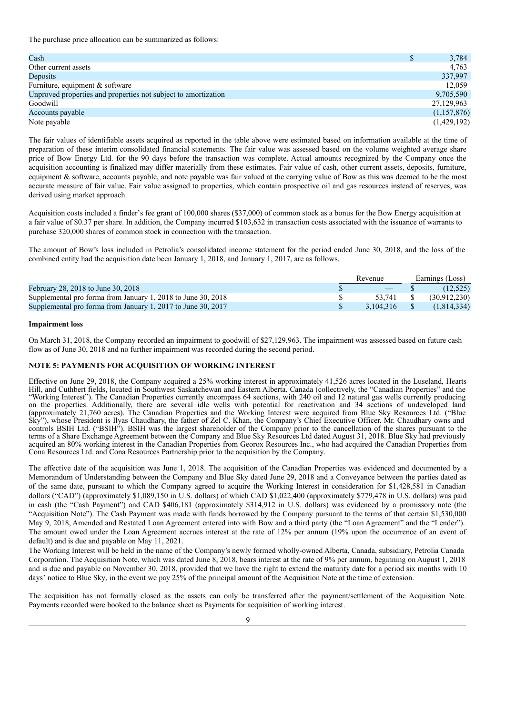The purchase price allocation can be summarized as follows:

| Cash                                                           | ъ | 3,784       |
|----------------------------------------------------------------|---|-------------|
| Other current assets                                           |   | 4.763       |
|                                                                |   |             |
| Deposits                                                       |   | 337,997     |
| Furniture, equipment $&$ software                              |   | 12.059      |
| Unproved properties and properties not subject to amortization |   | 9,705,590   |
| Goodwill                                                       |   | 27,129,963  |
| Accounts payable                                               |   | (1,157,876) |
| Note payable                                                   |   | (1,429,192) |

The fair values of identifiable assets acquired as reported in the table above were estimated based on information available at the time of preparation of these interim consolidated financial statements. The fair value was assessed based on the volume weighted average share price of Bow Energy Ltd. for the 90 days before the transaction was complete. Actual amounts recognized by the Company once the acquisition accounting is finalized may differ materially from these estimates. Fair value of cash, other current assets, deposits, furniture, equipment & software, accounts payable, and note payable was fair valued at the carrying value of Bow as this was deemed to be the most accurate measure of fair value. Fair value assigned to properties, which contain prospective oil and gas resources instead of reserves, was derived using market approach.

Acquisition costs included a finder's fee grant of 100,000 shares (\$37,000) of common stock as a bonus for the Bow Energy acquisition at a fair value of \$0.37 per share. In addition, the Company incurred \$103,632 in transaction costs associated with the issuance of warrants to purchase 320,000 shares of common stock in connection with the transaction.

The amount of Bow's loss included in Petrolia's consolidated income statement for the period ended June 30, 2018, and the loss of the combined entity had the acquisition date been January 1, 2018, and January 1, 2017, are as follows.

|                                                              | Revenue   | Earnings (Loss) |
|--------------------------------------------------------------|-----------|-----------------|
| February 28, 2018 to June 30, 2018                           |           | (12.525)        |
| Supplemental pro forma from January 1, 2018 to June 30, 2018 | 53.741 \$ | (30,912,230)    |
| Supplemental pro forma from January 1, 2017 to June 30, 2017 | 3.104.316 | (1.814.334)     |

#### **Impairment loss**

On March 31, 2018, the Company recorded an impairment to goodwill of \$27,129,963. The impairment was assessed based on future cash flow as of June 30, 2018 and no further impairment was recorded during the second period.

### **NOTE 5: PAYMENTS FOR ACQUISITION OF WORKING INTEREST**

Effective on June 29, 2018, the Company acquired a 25% working interest in approximately 41,526 acres located in the Luseland, Hearts Hill, and Cuthbert fields, located in Southwest Saskatchewan and Eastern Alberta, Canada (collectively, the "Canadian Properties" and the "Working Interest"). The Canadian Properties currently encompass 64 sections, with 240 oil and 12 natural gas wells currently producing on the properties. Additionally, there are several idle wells with potential for reactivation and 34 sections of undeveloped land (approximately 21,760 acres). The Canadian Properties and the Working Interest were acquired from Blue Sky Resources Ltd. ("Blue Sky"), whose President is Ilyas Chaudhary, the father of Zel C. Khan, the Company's Chief Executive Officer. Mr. Chaudhary owns and controls BSIH Ltd. ("BSIH"). BSIH was the largest shareholder of the Company prior to the cancellation of the shares pursuant to the terms of a Share Exchange Agreement between the Company and Blue Sky Resources Ltd dated August 31, 2018. Blue Sky had previously acquired an 80% working interest in the Canadian Properties from Georox Resources Inc., who had acquired the Canadian Properties from Cona Resources Ltd. and Cona Resources Partnership prior to the acquisition by the Company.

The effective date of the acquisition was June 1, 2018. The acquisition of the Canadian Properties was evidenced and documented by a Memorandum of Understanding between the Company and Blue Sky dated June 29, 2018 and a Conveyance between the parties dated as of the same date, pursuant to which the Company agreed to acquire the Working Interest in consideration for \$1,428,581 in Canadian dollars ("CAD") (approximately \$1,089,150 in U.S. dollars) of which CAD \$1,022,400 (approximately \$779,478 in U.S. dollars) was paid in cash (the "Cash Payment") and CAD \$406,181 (approximately \$314,912 in U.S. dollars) was evidenced by a promissory note (the "Acquisition Note"). The Cash Payment was made with funds borrowed by the Company pursuant to the terms of that certain \$1,530,000 May 9, 2018, Amended and Restated Loan Agreement entered into with Bow and a third party (the "Loan Agreement" and the "Lender"). The amount owed under the Loan Agreement accrues interest at the rate of 12% per annum (19% upon the occurrence of an event of default) and is due and payable on May 11, 2021.

The Working Interest will be held in the name of the Company's newly formed wholly-owned Alberta, Canada, subsidiary, Petrolia Canada Corporation. The Acquisition Note, which was dated June 8, 2018, bears interest at the rate of 9% per annum, beginning on August 1, 2018 and is due and payable on November 30, 2018, provided that we have the right to extend the maturity date for a period six months with 10 days' notice to Blue Sky, in the event we pay 25% of the principal amount of the Acquisition Note at the time of extension.

The acquisition has not formally closed as the assets can only be transferred after the payment/settlement of the Acquisition Note. Payments recorded were booked to the balance sheet as Payments for acquisition of working interest.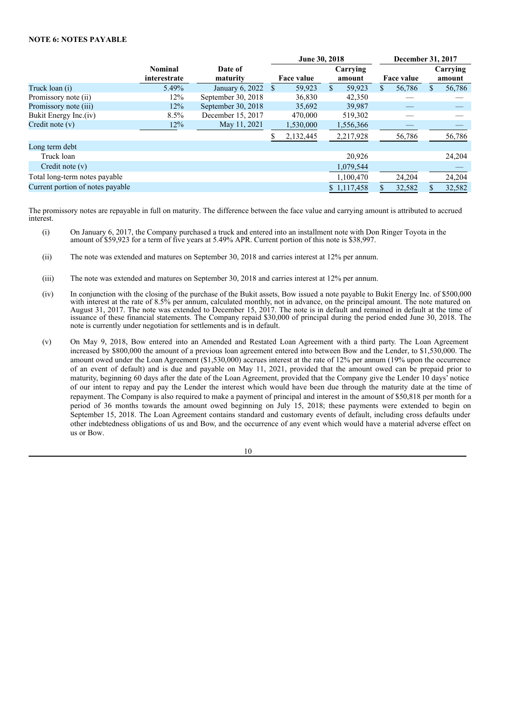#### **NOTE 6: NOTES PAYABLE**

|                                  |                                |                     |               |                   | June 30, 2018 |                    |     |            | December 31, 2017 |                    |  |  |
|----------------------------------|--------------------------------|---------------------|---------------|-------------------|---------------|--------------------|-----|------------|-------------------|--------------------|--|--|
|                                  | <b>Nominal</b><br>interestrate | Date of<br>maturity |               | <b>Face value</b> |               | Carrying<br>amount |     | Face value |                   | Carrying<br>amount |  |  |
| Truck loan (i)                   | 5.49%                          | January 6, 2022     | <sup>\$</sup> | 59,923            | S.            | 59,923             | \$. | 56,786     | S.                | 56,786             |  |  |
| Promissory note (ii)             | 12%                            | September 30, 2018  |               | 36,830            |               | 42,350             |     |            |                   |                    |  |  |
| Promissory note (iii)            | 12%                            | September 30, 2018  |               | 35,692            |               | 39,987             |     |            |                   |                    |  |  |
| Bukit Energy Inc.(iv)            | 8.5%                           | December 15, 2017   |               | 470,000           |               | 519,302            |     |            |                   |                    |  |  |
| Credit note $(v)$                | $12\%$                         | May 11, 2021        |               | 1,530,000         |               | 1,556,366          |     |            |                   |                    |  |  |
|                                  |                                |                     |               | 2,132,445         |               | 2,217,928          |     | 56,786     |                   | 56,786             |  |  |
| Long term debt                   |                                |                     |               |                   |               |                    |     |            |                   |                    |  |  |
| Truck loan                       |                                |                     |               |                   |               | 20,926             |     |            |                   | 24,204             |  |  |
| Credit note $(v)$                |                                |                     |               |                   |               | 1,079,544          |     |            |                   |                    |  |  |
| Total long-term notes payable    |                                |                     |               |                   |               | 1,100,470          |     | 24,204     |                   | 24,204             |  |  |
| Current portion of notes payable |                                |                     |               |                   |               | \$1,117,458        |     | 32,582     |                   | 32,582             |  |  |

The promissory notes are repayable in full on maturity. The difference between the face value and carrying amount is attributed to accrued interest.

- (i) On January 6, 2017, the Company purchased a truck and entered into an installment note with Don Ringer Toyota in the amount of \$59,923 for a term of five years at 5.49% APR. Current portion of this note is \$38,997.
- (ii) The note was extended and matures on September 30, 2018 and carries interest at 12% per annum.
- (iii) The note was extended and matures on September 30, 2018 and carries interest at 12% per annum.
- (iv) In conjunction with the closing of the purchase of the Bukit assets, Bow issued a note payable to Bukit Energy Inc. of \$500,000 with interest at the rate of 8.5% per annum, calculated monthly, not in advance, on the principal amount. The note matured on August 31, 2017. The note was extended to December 15, 2017. The note is in default and remained in default at the time of issuance of these financial statements. The Company repaid \$30,000 of principal during the period ended June 30, 2018. The note is currently under negotiation for settlements and is in default.
- (v) On May 9, 2018, Bow entered into an Amended and Restated Loan Agreement with a third party. The Loan Agreement increased by \$800,000 the amount of a previous loan agreement entered into between Bow and the Lender, to \$1,530,000. The amount owed under the Loan Agreement (\$1,530,000) accrues interest at the rate of 12% per annum (19% upon the occurrence of an event of default) and is due and payable on May 11, 2021, provided that the amount owed can be prepaid prior to maturity, beginning 60 days after the date of the Loan Agreement, provided that the Company give the Lender 10 days' notice of our intent to repay and pay the Lender the interest which would have been due through the maturity date at the time of repayment. The Company is also required to make a payment of principal and interest in the amount of \$50,818 per month for a period of 36 months towards the amount owed beginning on July 15, 2018; these payments were extended to begin on September 15, 2018. The Loan Agreement contains standard and customary events of default, including cross defaults under other indebtedness obligations of us and Bow, and the occurrence of any event which would have a material adverse effect on us or Bow.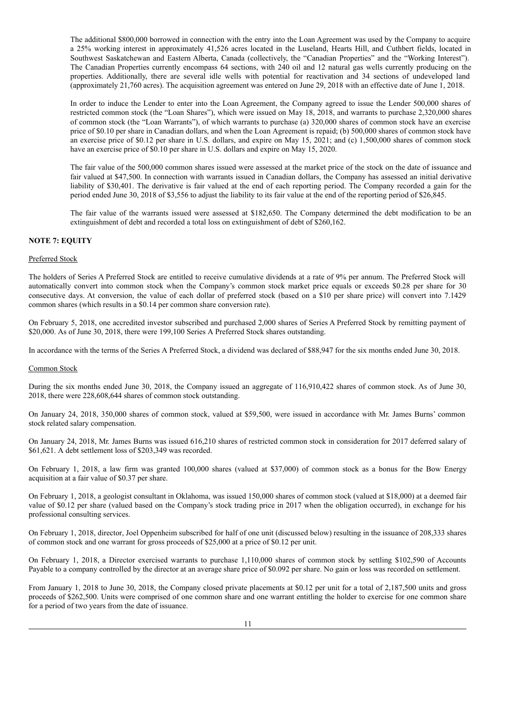The additional \$800,000 borrowed in connection with the entry into the Loan Agreement was used by the Company to acquire a 25% working interest in approximately 41,526 acres located in the Luseland, Hearts Hill, and Cuthbert fields, located in Southwest Saskatchewan and Eastern Alberta, Canada (collectively, the "Canadian Properties" and the "Working Interest"). The Canadian Properties currently encompass 64 sections, with 240 oil and 12 natural gas wells currently producing on the properties. Additionally, there are several idle wells with potential for reactivation and 34 sections of undeveloped land (approximately 21,760 acres). The acquisition agreement was entered on June 29, 2018 with an effective date of June 1, 2018.

In order to induce the Lender to enter into the Loan Agreement, the Company agreed to issue the Lender 500,000 shares of restricted common stock (the "Loan Shares"), which were issued on May 18, 2018, and warrants to purchase 2,320,000 shares of common stock (the "Loan Warrants"), of which warrants to purchase (a) 320,000 shares of common stock have an exercise price of \$0.10 per share in Canadian dollars, and when the Loan Agreement is repaid; (b) 500,000 shares of common stock have an exercise price of \$0.12 per share in U.S. dollars, and expire on May 15, 2021; and (c) 1,500,000 shares of common stock have an exercise price of \$0.10 per share in U.S. dollars and expire on May 15, 2020.

The fair value of the 500,000 common shares issued were assessed at the market price of the stock on the date of issuance and fair valued at \$47,500. In connection with warrants issued in Canadian dollars, the Company has assessed an initial derivative liability of \$30,401. The derivative is fair valued at the end of each reporting period. The Company recorded a gain for the period ended June 30, 2018 of \$3,556 to adjust the liability to its fair value at the end of the reporting period of \$26,845.

The fair value of the warrants issued were assessed at \$182,650. The Company determined the debt modification to be an extinguishment of debt and recorded a total loss on extinguishment of debt of \$260,162.

#### **NOTE 7: EQUITY**

## Preferred Stock

The holders of Series A Preferred Stock are entitled to receive cumulative dividends at a rate of 9% per annum. The Preferred Stock will automatically convert into common stock when the Company's common stock market price equals or exceeds \$0.28 per share for 30 consecutive days. At conversion, the value of each dollar of preferred stock (based on a \$10 per share price) will convert into 7.1429 common shares (which results in a \$0.14 per common share conversion rate).

On February 5, 2018, one accredited investor subscribed and purchased 2,000 shares of Series A Preferred Stock by remitting payment of \$20,000. As of June 30, 2018, there were 199,100 Series A Preferred Stock shares outstanding.

In accordance with the terms of the Series A Preferred Stock, a dividend was declared of \$88,947 for the six months ended June 30, 2018.

#### Common Stock

During the six months ended June 30, 2018, the Company issued an aggregate of 116,910,422 shares of common stock. As of June 30, 2018, there were 228,608,644 shares of common stock outstanding.

On January 24, 2018, 350,000 shares of common stock, valued at \$59,500, were issued in accordance with Mr. James Burns' common stock related salary compensation.

On January 24, 2018, Mr. James Burns was issued 616,210 shares of restricted common stock in consideration for 2017 deferred salary of \$61,621. A debt settlement loss of \$203,349 was recorded.

On February 1, 2018, a law firm was granted 100,000 shares (valued at \$37,000) of common stock as a bonus for the Bow Energy acquisition at a fair value of \$0.37 per share.

On February 1, 2018, a geologist consultant in Oklahoma, was issued 150,000 shares of common stock (valued at \$18,000) at a deemed fair value of \$0.12 per share (valued based on the Company's stock trading price in 2017 when the obligation occurred), in exchange for his professional consulting services.

On February 1, 2018, director, Joel Oppenheim subscribed for half of one unit (discussed below) resulting in the issuance of 208,333 shares of common stock and one warrant for gross proceeds of \$25,000 at a price of \$0.12 per unit.

On February 1, 2018, a Director exercised warrants to purchase 1,110,000 shares of common stock by settling \$102,590 of Accounts Payable to a company controlled by the director at an average share price of \$0.092 per share. No gain or loss was recorded on settlement.

From January 1, 2018 to June 30, 2018, the Company closed private placements at \$0.12 per unit for a total of 2,187,500 units and gross proceeds of \$262,500. Units were comprised of one common share and one warrant entitling the holder to exercise for one common share for a period of two years from the date of issuance.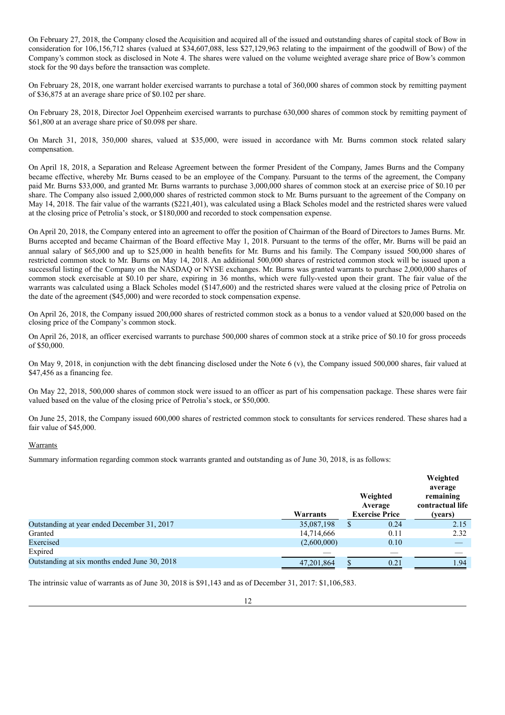On February 27, 2018, the Company closed the Acquisition and acquired all of the issued and outstanding shares of capital stock of Bow in consideration for 106,156,712 shares (valued at \$34,607,088, less \$27,129,963 relating to the impairment of the goodwill of Bow) of the Company's common stock as disclosed in Note 4. The shares were valued on the volume weighted average share price of Bow's common stock for the 90 days before the transaction was complete.

On February 28, 2018, one warrant holder exercised warrants to purchase a total of 360,000 shares of common stock by remitting payment of \$36,875 at an average share price of \$0.102 per share.

On February 28, 2018, Director Joel Oppenheim exercised warrants to purchase 630,000 shares of common stock by remitting payment of \$61,800 at an average share price of \$0.098 per share.

On March 31, 2018, 350,000 shares, valued at \$35,000, were issued in accordance with Mr. Burns common stock related salary compensation.

On April 18, 2018, a Separation and Release Agreement between the former President of the Company, James Burns and the Company became effective, whereby Mr. Burns ceased to be an employee of the Company. Pursuant to the terms of the agreement, the Company paid Mr. Burns \$33,000, and granted Mr. Burns warrants to purchase 3,000,000 shares of common stock at an exercise price of \$0.10 per share. The Company also issued 2,000,000 shares of restricted common stock to Mr. Burns pursuant to the agreement of the Company on May 14, 2018. The fair value of the warrants (\$221,401), was calculated using a Black Scholes model and the restricted shares were valued at the closing price of Petrolia's stock, or \$180,000 and recorded to stock compensation expense.

On April 20, 2018, the Company entered into an agreement to offer the position of Chairman of the Board of Directors to James Burns. Mr. Burns accepted and became Chairman of the Board effective May 1, 2018. Pursuant to the terms of the offer, Mr. Burns will be paid an annual salary of \$65,000 and up to \$25,000 in health benefits for Mr. Burns and his family. The Company issued 500,000 shares of restricted common stock to Mr. Burns on May 14, 2018. An additional 500,000 shares of restricted common stock will be issued upon a successful listing of the Company on the NASDAQ or NYSE exchanges. Mr. Burns was granted warrants to purchase 2,000,000 shares of common stock exercisable at \$0.10 per share, expiring in 36 months, which were fully-vested upon their grant. The fair value of the warrants was calculated using a Black Scholes model (\$147,600) and the restricted shares were valued at the closing price of Petrolia on the date of the agreement (\$45,000) and were recorded to stock compensation expense.

On April 26, 2018, the Company issued 200,000 shares of restricted common stock as a bonus to a vendor valued at \$20,000 based on the closing price of the Company's common stock.

On April 26, 2018, an officer exercised warrants to purchase 500,000 shares of common stock at a strike price of \$0.10 for gross proceeds of \$50,000.

On May 9, 2018, in conjunction with the debt financing disclosed under the Note 6 (v), the Company issued 500,000 shares, fair valued at \$47,456 as a financing fee.

On May 22, 2018, 500,000 shares of common stock were issued to an officer as part of his compensation package. These shares were fair valued based on the value of the closing price of Petrolia's stock, or \$50,000.

On June 25, 2018, the Company issued 600,000 shares of restricted common stock to consultants for services rendered. These shares had a fair value of \$45,000.

### **Warrants**

Summary information regarding common stock warrants granted and outstanding as of June 30, 2018, is as follows:

|                                               |              | Weighted<br>Average   |      | Weighted<br>average<br>remaining<br>contractual life |
|-----------------------------------------------|--------------|-----------------------|------|------------------------------------------------------|
|                                               | Warrants     | <b>Exercise Price</b> |      | (years)                                              |
| Outstanding at year ended December 31, 2017   | 35,087,198   | <sup>S</sup>          | 0.24 | 2.15                                                 |
| Granted                                       | 14,714,666   |                       | 0.11 | 2.32                                                 |
| Exercised                                     | (2,600,000)  |                       | 0.10 |                                                      |
| Expired                                       |              |                       |      |                                                      |
| Outstanding at six months ended June 30, 2018 | 47, 201, 864 |                       | 0.21 | 1.94                                                 |

The intrinsic value of warrants as of June 30, 2018 is \$91,143 and as of December 31, 2017: \$1,106,583.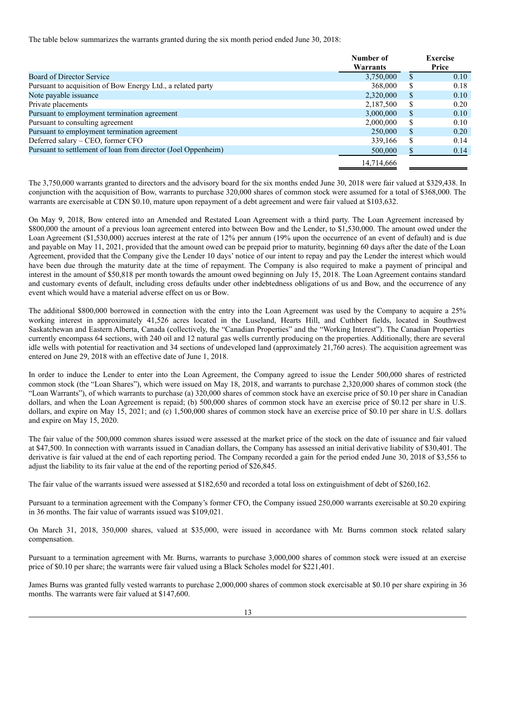The table below summarizes the warrants granted during the six month period ended June 30, 2018:

|                                                               | Number of  |     | <b>Exercise</b> |
|---------------------------------------------------------------|------------|-----|-----------------|
|                                                               | Warrants   |     | Price           |
| Board of Director Service                                     | 3,750,000  |     | 0.10            |
| Pursuant to acquisition of Bow Energy Ltd., a related party   | 368,000    |     | 0.18            |
| Note payable issuance                                         | 2,320,000  | S   | 0.10            |
| Private placements                                            | 2,187,500  | \$. | 0.20            |
| Pursuant to employment termination agreement                  | 3,000,000  |     | 0.10            |
| Pursuant to consulting agreement                              | 2,000,000  |     | 0.10            |
| Pursuant to employment termination agreement                  | 250,000    |     | 0.20            |
| Deferred salary - CEO, former CFO                             | 339,166    |     | 0.14            |
| Pursuant to settlement of loan from director (Joel Oppenheim) | 500,000    |     | 0.14            |
|                                                               | 14,714,666 |     |                 |

The 3,750,000 warrants granted to directors and the advisory board for the six months ended June 30, 2018 were fair valued at \$329,438. In conjunction with the acquisition of Bow, warrants to purchase 320,000 shares of common stock were assumed for a total of \$368,000. The warrants are exercisable at CDN \$0.10, mature upon repayment of a debt agreement and were fair valued at \$103,632.

On May 9, 2018, Bow entered into an Amended and Restated Loan Agreement with a third party. The Loan Agreement increased by \$800,000 the amount of a previous loan agreement entered into between Bow and the Lender, to \$1,530,000. The amount owed under the Loan Agreement (\$1,530,000) accrues interest at the rate of 12% per annum (19% upon the occurrence of an event of default) and is due and payable on May 11, 2021, provided that the amount owed can be prepaid prior to maturity, beginning 60 days after the date of the Loan Agreement, provided that the Company give the Lender 10 days' notice of our intent to repay and pay the Lender the interest which would have been due through the maturity date at the time of repayment. The Company is also required to make a payment of principal and interest in the amount of \$50,818 per month towards the amount owed beginning on July 15, 2018. The Loan Agreement contains standard and customary events of default, including cross defaults under other indebtedness obligations of us and Bow, and the occurrence of any event which would have a material adverse effect on us or Bow.

The additional \$800,000 borrowed in connection with the entry into the Loan Agreement was used by the Company to acquire a 25% working interest in approximately 41,526 acres located in the Luseland, Hearts Hill, and Cuthbert fields, located in Southwest Saskatchewan and Eastern Alberta, Canada (collectively, the "Canadian Properties" and the "Working Interest"). The Canadian Properties currently encompass 64 sections, with 240 oil and 12 natural gas wells currently producing on the properties. Additionally, there are several idle wells with potential for reactivation and 34 sections of undeveloped land (approximately 21,760 acres). The acquisition agreement was entered on June 29, 2018 with an effective date of June 1, 2018.

In order to induce the Lender to enter into the Loan Agreement, the Company agreed to issue the Lender 500,000 shares of restricted common stock (the "Loan Shares"), which were issued on May 18, 2018, and warrants to purchase 2,320,000 shares of common stock (the "Loan Warrants"), of which warrants to purchase (a) 320,000 shares of common stock have an exercise price of \$0.10 per share in Canadian dollars, and when the Loan Agreement is repaid; (b) 500,000 shares of common stock have an exercise price of \$0.12 per share in U.S. dollars, and expire on May 15, 2021; and (c) 1,500,000 shares of common stock have an exercise price of \$0.10 per share in U.S. dollars and expire on May 15, 2020.

The fair value of the 500,000 common shares issued were assessed at the market price of the stock on the date of issuance and fair valued at \$47,500. In connection with warrants issued in Canadian dollars, the Company has assessed an initial derivative liability of \$30,401. The derivative is fair valued at the end of each reporting period. The Company recorded a gain for the period ended June 30, 2018 of \$3,556 to adjust the liability to its fair value at the end of the reporting period of \$26,845.

The fair value of the warrants issued were assessed at \$182,650 and recorded a total loss on extinguishment of debt of \$260,162.

Pursuant to a termination agreement with the Company's former CFO, the Company issued 250,000 warrants exercisable at \$0.20 expiring in 36 months. The fair value of warrants issued was \$109,021.

On March 31, 2018, 350,000 shares, valued at \$35,000, were issued in accordance with Mr. Burns common stock related salary compensation.

Pursuant to a termination agreement with Mr. Burns, warrants to purchase 3,000,000 shares of common stock were issued at an exercise price of \$0.10 per share; the warrants were fair valued using a Black Scholes model for \$221,401.

James Burns was granted fully vested warrants to purchase 2,000,000 shares of common stock exercisable at \$0.10 per share expiring in 36 months. The warrants were fair valued at \$147,600.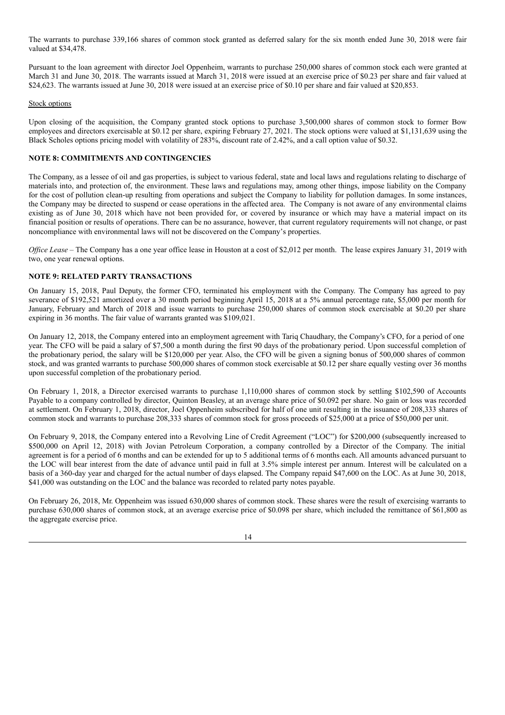The warrants to purchase 339,166 shares of common stock granted as deferred salary for the six month ended June 30, 2018 were fair valued at \$34,478.

Pursuant to the loan agreement with director Joel Oppenheim, warrants to purchase 250,000 shares of common stock each were granted at March 31 and June 30, 2018. The warrants issued at March 31, 2018 were issued at an exercise price of \$0.23 per share and fair valued at \$24,623. The warrants issued at June 30, 2018 were issued at an exercise price of \$0.10 per share and fair valued at \$20,853.

#### Stock options

Upon closing of the acquisition, the Company granted stock options to purchase 3,500,000 shares of common stock to former Bow employees and directors exercisable at \$0.12 per share, expiring February 27, 2021. The stock options were valued at \$1,131,639 using the Black Scholes options pricing model with volatility of 283%, discount rate of 2.42%, and a call option value of \$0.32.

#### **NOTE 8: COMMITMENTS AND CONTINGENCIES**

The Company, as a lessee of oil and gas properties, is subject to various federal, state and local laws and regulations relating to discharge of materials into, and protection of, the environment. These laws and regulations may, among other things, impose liability on the Company for the cost of pollution clean-up resulting from operations and subject the Company to liability for pollution damages. In some instances, the Company may be directed to suspend or cease operations in the affected area. The Company is not aware of any environmental claims existing as of June 30, 2018 which have not been provided for, or covered by insurance or which may have a material impact on its financial position or results of operations. There can be no assurance, however, that current regulatory requirements will not change, or past noncompliance with environmental laws will not be discovered on the Company's properties.

*Office Lease* – The Company has a one year office lease in Houston at a cost of \$2,012 per month. The lease expires January 31, 2019 with two, one year renewal options.

#### **NOTE 9: RELATED PARTY TRANSACTIONS**

On January 15, 2018, Paul Deputy, the former CFO, terminated his employment with the Company. The Company has agreed to pay severance of \$192,521 amortized over a 30 month period beginning April 15, 2018 at a 5% annual percentage rate, \$5,000 per month for January, February and March of 2018 and issue warrants to purchase 250,000 shares of common stock exercisable at \$0.20 per share expiring in 36 months. The fair value of warrants granted was \$109,021.

On January 12, 2018, the Company entered into an employment agreement with Tariq Chaudhary, the Company's CFO, for a period of one year. The CFO will be paid a salary of \$7,500 a month during the first 90 days of the probationary period. Upon successful completion of the probationary period, the salary will be \$120,000 per year. Also, the CFO will be given a signing bonus of 500,000 shares of common stock, and was granted warrants to purchase 500,000 shares of common stock exercisable at \$0.12 per share equally vesting over 36 months upon successful completion of the probationary period.

On February 1, 2018, a Director exercised warrants to purchase 1,110,000 shares of common stock by settling \$102,590 of Accounts Payable to a company controlled by director, Quinton Beasley, at an average share price of \$0.092 per share. No gain or loss was recorded at settlement. On February 1, 2018, director, Joel Oppenheim subscribed for half of one unit resulting in the issuance of 208,333 shares of common stock and warrants to purchase 208,333 shares of common stock for gross proceeds of \$25,000 at a price of \$50,000 per unit.

On February 9, 2018, the Company entered into a Revolving Line of Credit Agreement ("LOC") for \$200,000 (subsequently increased to \$500,000 on April 12, 2018) with Jovian Petroleum Corporation, a company controlled by a Director of the Company. The initial agreement is for a period of 6 months and can be extended for up to 5 additional terms of 6 months each. All amounts advanced pursuant to the LOC will bear interest from the date of advance until paid in full at 3.5% simple interest per annum. Interest will be calculated on a basis of a 360-day year and charged for the actual number of days elapsed. The Company repaid \$47,600 on the LOC. As at June 30, 2018, \$41,000 was outstanding on the LOC and the balance was recorded to related party notes payable.

On February 26, 2018, Mr. Oppenheim was issued 630,000 shares of common stock. These shares were the result of exercising warrants to purchase 630,000 shares of common stock, at an average exercise price of \$0.098 per share, which included the remittance of \$61,800 as the aggregate exercise price.

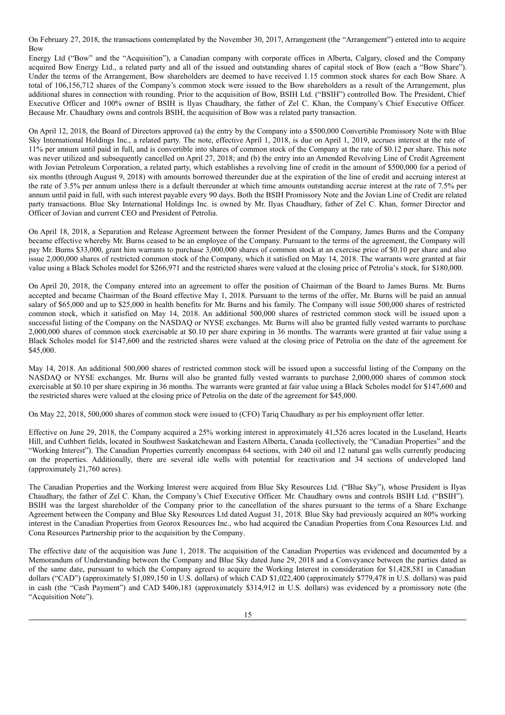On February 27, 2018, the transactions contemplated by the November 30, 2017, Arrangement (the "Arrangement") entered into to acquire Bow

Energy Ltd ("Bow" and the "Acquisition"), a Canadian company with corporate offices in Alberta, Calgary, closed and the Company acquired Bow Energy Ltd., a related party and all of the issued and outstanding shares of capital stock of Bow (each a "Bow Share"). Under the terms of the Arrangement, Bow shareholders are deemed to have received 1.15 common stock shares for each Bow Share. A total of 106,156,712 shares of the Company's common stock were issued to the Bow shareholders as a result of the Arrangement, plus additional shares in connection with rounding. Prior to the acquisition of Bow, BSIH Ltd. ("BSIH") controlled Bow. The President, Chief Executive Officer and 100% owner of BSIH is Ilyas Chaudhary, the father of Zel C. Khan, the Company's Chief Executive Officer. Because Mr. Chaudhary owns and controls BSIH, the acquisition of Bow was a related party transaction.

On April 12, 2018, the Board of Directors approved (a) the entry by the Company into a \$500,000 Convertible Promissory Note with Blue Sky International Holdings Inc., a related party. The note, effective April 1, 2018, is due on April 1, 2019, accrues interest at the rate of 11% per annum until paid in full, and is convertible into shares of common stock of the Company at the rate of \$0.12 per share. This note was never utilized and subsequently cancelled on April 27, 2018; and (b) the entry into an Amended Revolving Line of Credit Agreement with Jovian Petroleum Corporation, a related party, which establishes a revolving line of credit in the amount of \$500,000 for a period of six months (through August 9, 2018) with amounts borrowed thereunder due at the expiration of the line of credit and accruing interest at the rate of 3.5% per annum unless there is a default thereunder at which time amounts outstanding accrue interest at the rate of 7.5% per annum until paid in full, with such interest payable every 90 days. Both the BSIH Promissory Note and the Jovian Line of Credit are related party transactions. Blue Sky International Holdings Inc. is owned by Mr. Ilyas Chaudhary, father of Zel C. Khan, former Director and Officer of Jovian and current CEO and President of Petrolia.

On April 18, 2018, a Separation and Release Agreement between the former President of the Company, James Burns and the Company became effective whereby Mr. Burns ceased to be an employee of the Company. Pursuant to the terms of the agreement, the Company will pay Mr. Burns \$33,000, grant him warrants to purchase 3,000,000 shares of common stock at an exercise price of \$0.10 per share and also issue 2,000,000 shares of restricted common stock of the Company, which it satisfied on May 14, 2018. The warrants were granted at fair value using a Black Scholes model for \$266,971 and the restricted shares were valued at the closing price of Petrolia's stock, for \$180,000.

On April 20, 2018, the Company entered into an agreement to offer the position of Chairman of the Board to James Burns. Mr. Burns accepted and became Chairman of the Board effective May 1, 2018. Pursuant to the terms of the offer, Mr. Burns will be paid an annual salary of \$65,000 and up to \$25,000 in health benefits for Mr. Burns and his family. The Company will issue 500,000 shares of restricted common stock, which it satisfied on May 14, 2018. An additional 500,000 shares of restricted common stock will be issued upon a successful listing of the Company on the NASDAQ or NYSE exchanges. Mr. Burns will also be granted fully vested warrants to purchase 2,000,000 shares of common stock exercisable at \$0.10 per share expiring in 36 months. The warrants were granted at fair value using a Black Scholes model for \$147,600 and the restricted shares were valued at the closing price of Petrolia on the date of the agreement for \$45,000.

May 14, 2018. An additional 500,000 shares of restricted common stock will be issued upon a successful listing of the Company on the NASDAQ or NYSE exchanges. Mr. Burns will also be granted fully vested warrants to purchase 2,000,000 shares of common stock exercisable at \$0.10 per share expiring in 36 months. The warrants were granted at fair value using a Black Scholes model for \$147,600 and the restricted shares were valued at the closing price of Petrolia on the date of the agreement for \$45,000.

On May 22, 2018, 500,000 shares of common stock were issued to (CFO) Tariq Chaudhary as per his employment offer letter.

Effective on June 29, 2018, the Company acquired a 25% working interest in approximately 41,526 acres located in the Luseland, Hearts Hill, and Cuthbert fields, located in Southwest Saskatchewan and Eastern Alberta, Canada (collectively, the "Canadian Properties" and the "Working Interest"). The Canadian Properties currently encompass 64 sections, with 240 oil and 12 natural gas wells currently producing on the properties. Additionally, there are several idle wells with potential for reactivation and 34 sections of undeveloped land (approximately 21,760 acres).

The Canadian Properties and the Working Interest were acquired from Blue Sky Resources Ltd. ("Blue Sky"), whose President is Ilyas Chaudhary, the father of Zel C. Khan, the Company's Chief Executive Officer. Mr. Chaudhary owns and controls BSIH Ltd. ("BSIH"). BSIH was the largest shareholder of the Company prior to the cancellation of the shares pursuant to the terms of a Share Exchange Agreement between the Company and Blue Sky Resources Ltd dated August 31, 2018. Blue Sky had previously acquired an 80% working interest in the Canadian Properties from Georox Resources Inc., who had acquired the Canadian Properties from Cona Resources Ltd. and Cona Resources Partnership prior to the acquisition by the Company.

The effective date of the acquisition was June 1, 2018. The acquisition of the Canadian Properties was evidenced and documented by a Memorandum of Understanding between the Company and Blue Sky dated June 29, 2018 and a Conveyance between the parties dated as of the same date, pursuant to which the Company agreed to acquire the Working Interest in consideration for \$1,428,581 in Canadian dollars ("CAD") (approximately \$1,089,150 in U.S. dollars) of which CAD \$1,022,400 (approximately \$779,478 in U.S. dollars) was paid in cash (the "Cash Payment") and CAD \$406,181 (approximately \$314,912 in U.S. dollars) was evidenced by a promissory note (the "Acquisition Note").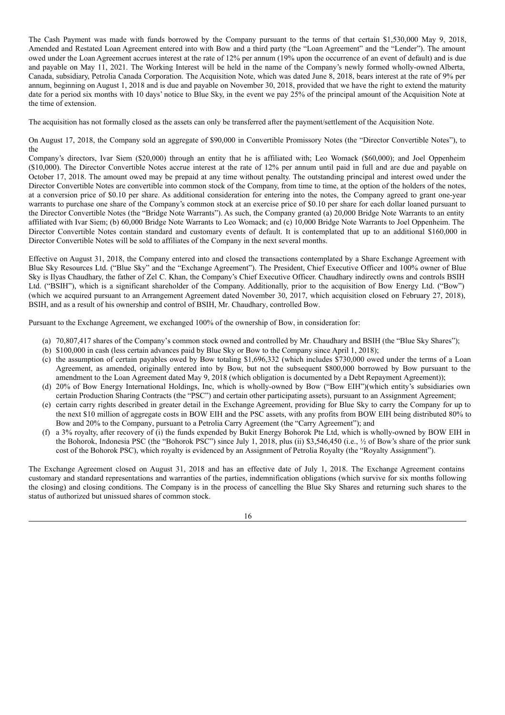The Cash Payment was made with funds borrowed by the Company pursuant to the terms of that certain \$1,530,000 May 9, 2018, Amended and Restated Loan Agreement entered into with Bow and a third party (the "Loan Agreement" and the "Lender"). The amount owed under the Loan Agreement accrues interest at the rate of 12% per annum (19% upon the occurrence of an event of default) and is due and payable on May 11, 2021. The Working Interest will be held in the name of the Company's newly formed wholly-owned Alberta, Canada, subsidiary, Petrolia Canada Corporation. The Acquisition Note, which was dated June 8, 2018, bears interest at the rate of 9% per annum, beginning on August 1, 2018 and is due and payable on November 30, 2018, provided that we have the right to extend the maturity date for a period six months with 10 days' notice to Blue Sky, in the event we pay 25% of the principal amount of the Acquisition Note at the time of extension.

The acquisition has not formally closed as the assets can only be transferred after the payment/settlement of the Acquisition Note.

On August 17, 2018, the Company sold an aggregate of \$90,000 in Convertible Promissory Notes (the "Director Convertible Notes"), to the

Company's directors, Ivar Siem (\$20,000) through an entity that he is affiliated with; Leo Womack (\$60,000); and Joel Oppenheim (\$10,000). The Director Convertible Notes accrue interest at the rate of 12% per annum until paid in full and are due and payable on October 17, 2018. The amount owed may be prepaid at any time without penalty. The outstanding principal and interest owed under the Director Convertible Notes are convertible into common stock of the Company, from time to time, at the option of the holders of the notes, at a conversion price of \$0.10 per share. As additional consideration for entering into the notes, the Company agreed to grant one-year warrants to purchase one share of the Company's common stock at an exercise price of \$0.10 per share for each dollar loaned pursuant to the Director Convertible Notes (the "Bridge Note Warrants"). As such, the Company granted (a) 20,000 Bridge Note Warrants to an entity affiliated with Ivar Siem; (b) 60,000 Bridge Note Warrants to Leo Womack; and (c) 10,000 Bridge Note Warrants to Joel Oppenheim. The Director Convertible Notes contain standard and customary events of default. It is contemplated that up to an additional \$160,000 in Director Convertible Notes will be sold to affiliates of the Company in the next several months.

Effective on August 31, 2018, the Company entered into and closed the transactions contemplated by a Share Exchange Agreement with Blue Sky Resources Ltd. ("Blue Sky" and the "Exchange Agreement"). The President, Chief Executive Officer and 100% owner of Blue Sky is Ilyas Chaudhary, the father of Zel C. Khan, the Company's Chief Executive Officer. Chaudhary indirectly owns and controls BSIH Ltd. ("BSIH"), which is a significant shareholder of the Company. Additionally, prior to the acquisition of Bow Energy Ltd. ("Bow") (which we acquired pursuant to an Arrangement Agreement dated November 30, 2017, which acquisition closed on February 27, 2018), BSIH, and as a result of his ownership and control of BSIH, Mr. Chaudhary, controlled Bow.

Pursuant to the Exchange Agreement, we exchanged 100% of the ownership of Bow, in consideration for:

- (a) 70,807,417 shares of the Company's common stock owned and controlled by Mr. Chaudhary and BSIH (the "Blue Sky Shares");
- (b) \$100,000 in cash (less certain advances paid by Blue Sky or Bow to the Company since April 1, 2018);
- (c) the assumption of certain payables owed by Bow totaling \$1,696,332 (which includes \$730,000 owed under the terms of a Loan Agreement, as amended, originally entered into by Bow, but not the subsequent \$800,000 borrowed by Bow pursuant to the amendment to the Loan Agreement dated May 9, 2018 (which obligation is documented by a Debt Repayment Agreement));
- (d) 20% of Bow Energy International Holdings, Inc, which is wholly-owned by Bow ("Bow EIH")(which entity's subsidiaries own certain Production Sharing Contracts (the "PSC") and certain other participating assets), pursuant to an Assignment Agreement;
- (e) certain carry rights described in greater detail in the Exchange Agreement, providing for Blue Sky to carry the Company for up to the next \$10 million of aggregate costs in BOW EIH and the PSC assets, with any profits from BOW EIH being distributed 80% to Bow and 20% to the Company, pursuant to a Petrolia Carry Agreement (the "Carry Agreement"); and
- (f) a 3% royalty, after recovery of (i) the funds expended by Bukit Energy Bohorok Pte Ltd, which is wholly-owned by BOW EIH in the Bohorok, Indonesia PSC (the "Bohorok PSC") since July 1, 2018, plus (ii) \$3,546,450 (i.e., ½ of Bow's share of the prior sunk cost of the Bohorok PSC), which royalty is evidenced by an Assignment of Petrolia Royalty (the "Royalty Assignment").

The Exchange Agreement closed on August 31, 2018 and has an effective date of July 1, 2018. The Exchange Agreement contains customary and standard representations and warranties of the parties, indemnification obligations (which survive for six months following the closing) and closing conditions. The Company is in the process of cancelling the Blue Sky Shares and returning such shares to the status of authorized but unissued shares of common stock.

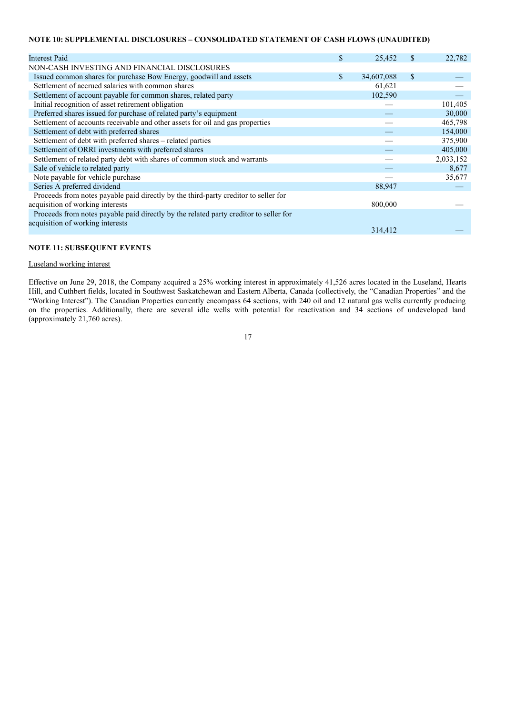# **NOTE 10: SUPPLEMENTAL DISCLOSURES – CONSOLIDATED STATEMENT OF CASH FLOWS (UNAUDITED)**

| Interest Paid                                                                         | \$           | 25,452     | S. | 22,782    |
|---------------------------------------------------------------------------------------|--------------|------------|----|-----------|
| NON-CASH INVESTING AND FINANCIAL DISCLOSURES                                          |              |            |    |           |
| Issued common shares for purchase Bow Energy, goodwill and assets                     | $\mathbb{S}$ | 34,607,088 | \$ |           |
| Settlement of accrued salaries with common shares                                     |              | 61,621     |    |           |
| Settlement of account payable for common shares, related party                        |              | 102,590    |    |           |
| Initial recognition of asset retirement obligation                                    |              |            |    | 101,405   |
| Preferred shares issued for purchase of related party's equipment                     |              |            |    | 30,000    |
| Settlement of accounts receivable and other assets for oil and gas properties         |              |            |    | 465,798   |
| Settlement of debt with preferred shares                                              |              |            |    | 154,000   |
| Settlement of debt with preferred shares - related parties                            |              |            |    | 375,900   |
| Settlement of ORRI investments with preferred shares                                  |              |            |    | 405,000   |
| Settlement of related party debt with shares of common stock and warrants             |              |            |    | 2,033,152 |
| Sale of vehicle to related party                                                      |              |            |    | 8,677     |
| Note payable for vehicle purchase                                                     |              |            |    | 35,677    |
| Series A preferred dividend                                                           |              | 88,947     |    |           |
| Proceeds from notes payable paid directly by the third-party creditor to seller for   |              |            |    |           |
| acquisition of working interests                                                      |              | 800,000    |    |           |
| Proceeds from notes payable paid directly by the related party creditor to seller for |              |            |    |           |
| acquisition of working interests                                                      |              |            |    |           |
|                                                                                       |              | 314,412    |    |           |
|                                                                                       |              |            |    |           |

# **NOTE 11: SUBSEQUENT EVENTS**

# Luseland working interest

Effective on June 29, 2018, the Company acquired a 25% working interest in approximately 41,526 acres located in the Luseland, Hearts Hill, and Cuthbert fields, located in Southwest Saskatchewan and Eastern Alberta, Canada (collectively, the "Canadian Properties" and the "Working Interest"). The Canadian Properties currently encompass 64 sections, with 240 oil and 12 natural gas wells currently producing on the properties. Additionally, there are several idle wells with potential for reactivation and 34 sections of undeveloped land (approximately 21,760 acres).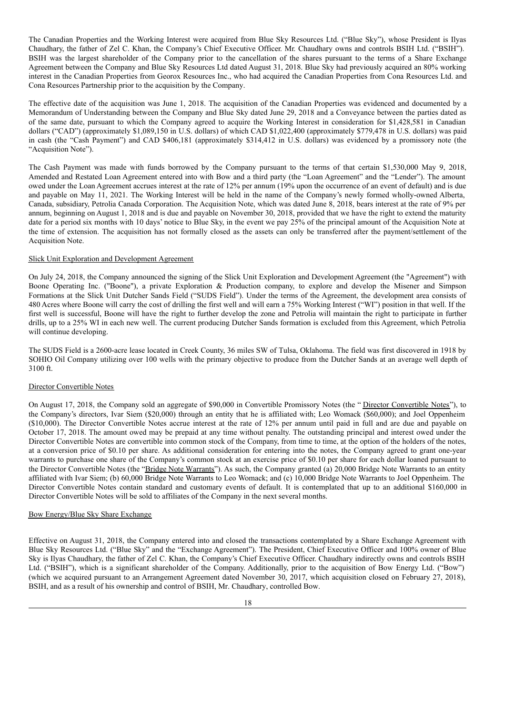The Canadian Properties and the Working Interest were acquired from Blue Sky Resources Ltd. ("Blue Sky"), whose President is Ilyas Chaudhary, the father of Zel C. Khan, the Company's Chief Executive Officer. Mr. Chaudhary owns and controls BSIH Ltd. ("BSIH"). BSIH was the largest shareholder of the Company prior to the cancellation of the shares pursuant to the terms of a Share Exchange Agreement between the Company and Blue Sky Resources Ltd dated August 31, 2018. Blue Sky had previously acquired an 80% working interest in the Canadian Properties from Georox Resources Inc., who had acquired the Canadian Properties from Cona Resources Ltd. and Cona Resources Partnership prior to the acquisition by the Company.

The effective date of the acquisition was June 1, 2018. The acquisition of the Canadian Properties was evidenced and documented by a Memorandum of Understanding between the Company and Blue Sky dated June 29, 2018 and a Conveyance between the parties dated as of the same date, pursuant to which the Company agreed to acquire the Working Interest in consideration for \$1,428,581 in Canadian dollars ("CAD") (approximately \$1,089,150 in U.S. dollars) of which CAD \$1,022,400 (approximately \$779,478 in U.S. dollars) was paid in cash (the "Cash Payment") and CAD \$406,181 (approximately \$314,412 in U.S. dollars) was evidenced by a promissory note (the "Acquisition Note").

The Cash Payment was made with funds borrowed by the Company pursuant to the terms of that certain \$1,530,000 May 9, 2018, Amended and Restated Loan Agreement entered into with Bow and a third party (the "Loan Agreement" and the "Lender"). The amount owed under the Loan Agreement accrues interest at the rate of 12% per annum (19% upon the occurrence of an event of default) and is due and payable on May 11, 2021. The Working Interest will be held in the name of the Company's newly formed wholly-owned Alberta, Canada, subsidiary, Petrolia Canada Corporation. The Acquisition Note, which was dated June 8, 2018, bears interest at the rate of 9% per annum, beginning on August 1, 2018 and is due and payable on November 30, 2018, provided that we have the right to extend the maturity date for a period six months with 10 days' notice to Blue Sky, in the event we pay 25% of the principal amount of the Acquisition Note at the time of extension. The acquisition has not formally closed as the assets can only be transferred after the payment/settlement of the Acquisition Note.

### Slick Unit Exploration and Development Agreement

On July 24, 2018, the Company announced the signing of the Slick Unit Exploration and Development Agreement (the "Agreement") with Boone Operating Inc. ("Boone"), a private Exploration & Production company, to explore and develop the Misener and Simpson Formations at the Slick Unit Dutcher Sands Field ("SUDS Field"). Under the terms of the Agreement, the development area consists of 480 Acres where Boone will carry the cost of drilling the first well and will earn a 75% Working Interest ("WI") position in that well. If the first well is successful, Boone will have the right to further develop the zone and Petrolia will maintain the right to participate in further drills, up to a 25% WI in each new well. The current producing Dutcher Sands formation is excluded from this Agreement, which Petrolia will continue developing.

The SUDS Field is a 2600-acre lease located in Creek County, 36 miles SW of Tulsa, Oklahoma. The field was first discovered in 1918 by SOHIO Oil Company utilizing over 100 wells with the primary objective to produce from the Dutcher Sands at an average well depth of 3100 ft.

# Director Convertible Notes

On August 17, 2018, the Company sold an aggregate of \$90,000 in Convertible Promissory Notes (the " Director Convertible Notes"), to the Company's directors, Ivar Siem (\$20,000) through an entity that he is affiliated with; Leo Womack (\$60,000); and Joel Oppenheim (\$10,000). The Director Convertible Notes accrue interest at the rate of 12% per annum until paid in full and are due and payable on October 17, 2018. The amount owed may be prepaid at any time without penalty. The outstanding principal and interest owed under the Director Convertible Notes are convertible into common stock of the Company, from time to time, at the option of the holders of the notes, at a conversion price of \$0.10 per share. As additional consideration for entering into the notes, the Company agreed to grant one-year warrants to purchase one share of the Company's common stock at an exercise price of \$0.10 per share for each dollar loaned pursuant to the Director Convertible Notes (the "Bridge Note Warrants"). As such, the Company granted (a) 20,000 Bridge Note Warrants to an entity affiliated with Ivar Siem; (b) 60,000 Bridge Note Warrants to Leo Womack; and (c) 10,000 Bridge Note Warrants to Joel Oppenheim. The Director Convertible Notes contain standard and customary events of default. It is contemplated that up to an additional \$160,000 in Director Convertible Notes will be sold to affiliates of the Company in the next several months.

### Bow Energy/Blue Sky Share Exchange

Effective on August 31, 2018, the Company entered into and closed the transactions contemplated by a Share Exchange Agreement with Blue Sky Resources Ltd. ("Blue Sky" and the "Exchange Agreement"). The President, Chief Executive Officer and 100% owner of Blue Sky is Ilyas Chaudhary, the father of Zel C. Khan, the Company's Chief Executive Officer. Chaudhary indirectly owns and controls BSIH Ltd. ("BSIH"), which is a significant shareholder of the Company. Additionally, prior to the acquisition of Bow Energy Ltd. ("Bow") (which we acquired pursuant to an Arrangement Agreement dated November 30, 2017, which acquisition closed on February 27, 2018), BSIH, and as a result of his ownership and control of BSIH, Mr. Chaudhary, controlled Bow.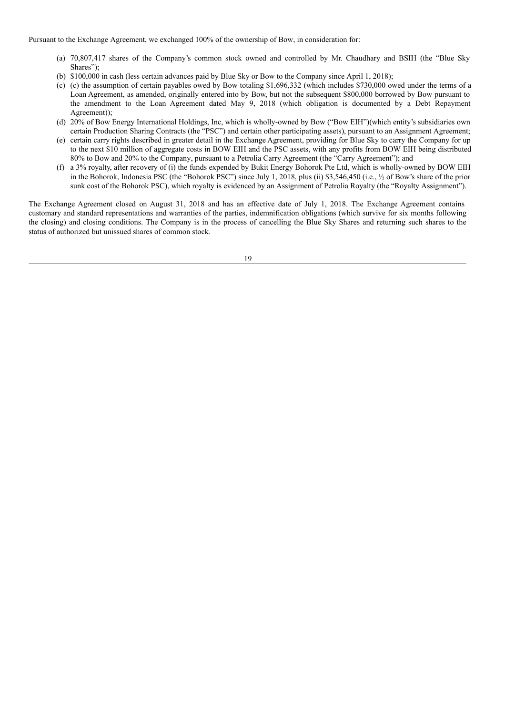Pursuant to the Exchange Agreement, we exchanged 100% of the ownership of Bow, in consideration for:

- (a) 70,807,417 shares of the Company's common stock owned and controlled by Mr. Chaudhary and BSIH (the "Blue Sky Shares");
- (b) \$100,000 in cash (less certain advances paid by Blue Sky or Bow to the Company since April 1, 2018);
- (c) (c) the assumption of certain payables owed by Bow totaling \$1,696,332 (which includes \$730,000 owed under the terms of a Loan Agreement, as amended, originally entered into by Bow, but not the subsequent \$800,000 borrowed by Bow pursuant to the amendment to the Loan Agreement dated May 9, 2018 (which obligation is documented by a Debt Repayment Agreement));
- (d) 20% of Bow Energy International Holdings, Inc, which is wholly-owned by Bow ("Bow EIH")(which entity's subsidiaries own certain Production Sharing Contracts (the "PSC") and certain other participating assets), pursuant to an Assignment Agreement;
- (e) certain carry rights described in greater detail in the Exchange Agreement, providing for Blue Sky to carry the Company for up to the next \$10 million of aggregate costs in BOW EIH and the PSC assets, with any profits from BOW EIH being distributed 80% to Bow and 20% to the Company, pursuant to a Petrolia Carry Agreement (the "Carry Agreement"); and
- (f) a 3% royalty, after recovery of (i) the funds expended by Bukit Energy Bohorok Pte Ltd, which is wholly-owned by BOW EIH in the Bohorok, Indonesia PSC (the "Bohorok PSC") since July 1, 2018, plus (ii) \$3,546,450 (i.e., ½ of Bow's share of the prior sunk cost of the Bohorok PSC), which royalty is evidenced by an Assignment of Petrolia Royalty (the "Royalty Assignment").

The Exchange Agreement closed on August 31, 2018 and has an effective date of July 1, 2018. The Exchange Agreement contains customary and standard representations and warranties of the parties, indemnification obligations (which survive for six months following the closing) and closing conditions. The Company is in the process of cancelling the Blue Sky Shares and returning such shares to the status of authorized but unissued shares of common stock.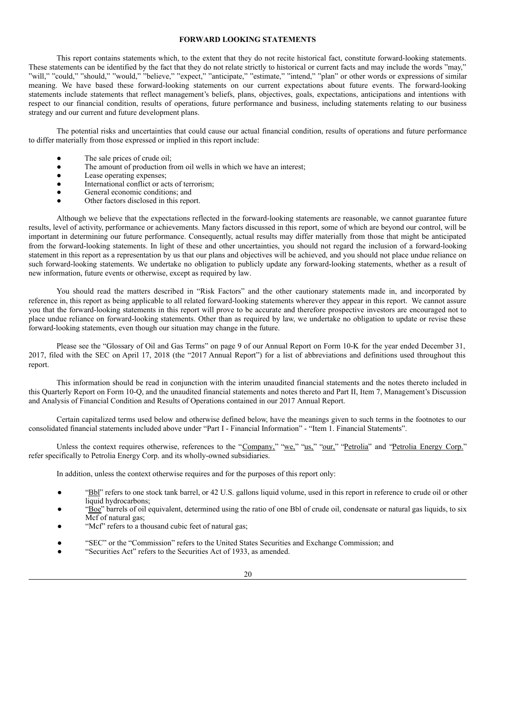#### **FORWARD LOOKING STATEMENTS**

This report contains statements which, to the extent that they do not recite historical fact, constitute forward-looking statements. These statements can be identified by the fact that they do not relate strictly to historical or current facts and may include the words "may," "will," "could," "should," "would," "believe," "expect," "anticipate," "estimate," "intend," "plan" or other words or expressions of similar meaning. We have based these forward-looking statements on our current expectations about future events. The forward-looking statements include statements that reflect management's beliefs, plans, objectives, goals, expectations, anticipations and intentions with respect to our financial condition, results of operations, future performance and business, including statements relating to our business strategy and our current and future development plans.

The potential risks and uncertainties that could cause our actual financial condition, results of operations and future performance to differ materially from those expressed or implied in this report include:

- The sale prices of crude oil;
- The amount of production from oil wells in which we have an interest;
- Lease operating expenses;
- International conflict or acts of terrorism:
- General economic conditions; and<br>• Other factors disclosed in this repo Other factors disclosed in this report.
- 

Although we believe that the expectations reflected in the forward-looking statements are reasonable, we cannot guarantee future results, level of activity, performance or achievements. Many factors discussed in this report, some of which are beyond our control, will be important in determining our future performance. Consequently, actual results may differ materially from those that might be anticipated from the forward-looking statements. In light of these and other uncertainties, you should not regard the inclusion of a forward-looking statement in this report as a representation by us that our plans and objectives will be achieved, and you should not place undue reliance on such forward-looking statements. We undertake no obligation to publicly update any forward-looking statements, whether as a result of new information, future events or otherwise, except as required by law.

You should read the matters described in "Risk Factors" and the other cautionary statements made in, and incorporated by reference in, this report as being applicable to all related forward-looking statements wherever they appear in this report. We cannot assure you that the forward-looking statements in this report will prove to be accurate and therefore prospective investors are encouraged not to place undue reliance on forward-looking statements. Other than as required by law, we undertake no obligation to update or revise these forward-looking statements, even though our situation may change in the future.

Please see the "Glossary of Oil and Gas Terms" on page 9 of our Annual Report on Form 10-K for the year ended December 31, 2017, filed with the SEC on April 17, 2018 (the "2017 Annual Report") for a list of abbreviations and definitions used throughout this report.

This information should be read in conjunction with the interim unaudited financial statements and the notes thereto included in this Quarterly Report on Form 10-Q, and the unaudited financial statements and notes thereto and Part II, Item 7, Management's Discussion and Analysis of Financial Condition and Results of Operations contained in our 2017 Annual Report.

Certain capitalized terms used below and otherwise defined below, have the meanings given to such terms in the footnotes to our consolidated financial statements included above under "Part I - Financial Information" - "Item 1. Financial Statements".

Unless the context requires otherwise, references to the "Company," "we," "us," "our," "Petrolia" and "Petrolia Energy Corp." refer specifically to Petrolia Energy Corp. and its wholly-owned subsidiaries.

In addition, unless the context otherwise requires and for the purposes of this report only:

- "Bbl" refers to one stock tank barrel, or 42 U.S. gallons liquid volume, used in this report in reference to crude oil or other liquid hydrocarbons:
- "Boe" barrels of oil equivalent, determined using the ratio of one Bbl of crude oil, condensate or natural gas liquids, to six Mcf of natural gas:
- "Mcf" refers to a thousand cubic feet of natural gas;
- "SEC" or the "Commission" refers to the United States Securities and Exchange Commission; and
- "Securities Act" refers to the Securities Act of 1933, as amended.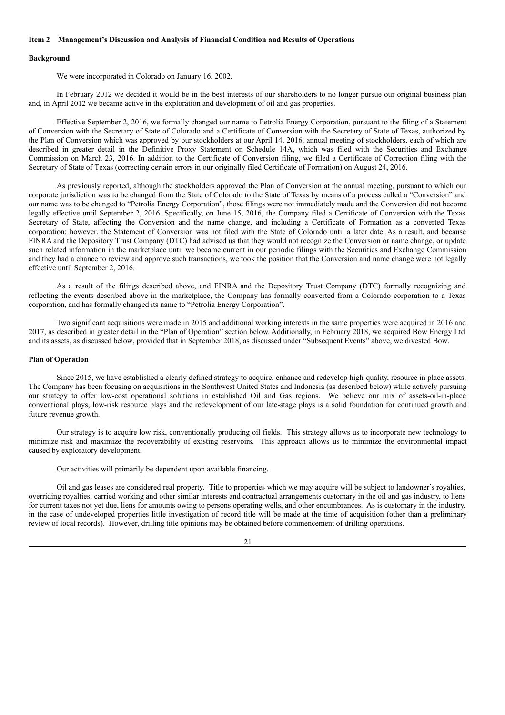#### **Item 2 Management's Discussion and Analysis of Financial Condition and Results of Operations**

#### **Background**

We were incorporated in Colorado on January 16, 2002.

In February 2012 we decided it would be in the best interests of our shareholders to no longer pursue our original business plan and, in April 2012 we became active in the exploration and development of oil and gas properties.

Effective September 2, 2016, we formally changed our name to Petrolia Energy Corporation, pursuant to the filing of a Statement of Conversion with the Secretary of State of Colorado and a Certificate of Conversion with the Secretary of State of Texas, authorized by the Plan of Conversion which was approved by our stockholders at our April 14, 2016, annual meeting of stockholders, each of which are described in greater detail in the Definitive Proxy Statement on Schedule 14A, which was filed with the Securities and Exchange Commission on March 23, 2016. In addition to the Certificate of Conversion filing, we filed a Certificate of Correction filing with the Secretary of State of Texas (correcting certain errors in our originally filed Certificate of Formation) on August 24, 2016.

As previously reported, although the stockholders approved the Plan of Conversion at the annual meeting, pursuant to which our corporate jurisdiction was to be changed from the State of Colorado to the State of Texas by means of a process called a "Conversion" and our name was to be changed to "Petrolia Energy Corporation", those filings were not immediately made and the Conversion did not become legally effective until September 2, 2016. Specifically, on June 15, 2016, the Company filed a Certificate of Conversion with the Texas Secretary of State, affecting the Conversion and the name change, and including a Certificate of Formation as a converted Texas corporation; however, the Statement of Conversion was not filed with the State of Colorado until a later date. As a result, and because FINRA and the Depository Trust Company (DTC) had advised us that they would not recognize the Conversion or name change, or update such related information in the marketplace until we became current in our periodic filings with the Securities and Exchange Commission and they had a chance to review and approve such transactions, we took the position that the Conversion and name change were not legally effective until September 2, 2016.

As a result of the filings described above, and FINRA and the Depository Trust Company (DTC) formally recognizing and reflecting the events described above in the marketplace, the Company has formally converted from a Colorado corporation to a Texas corporation, and has formally changed its name to "Petrolia Energy Corporation".

Two significant acquisitions were made in 2015 and additional working interests in the same properties were acquired in 2016 and 2017, as described in greater detail in the "Plan of Operation" section below. Additionally, in February 2018, we acquired Bow Energy Ltd and its assets, as discussed below, provided that in September 2018, as discussed under "Subsequent Events" above, we divested Bow.

### **Plan of Operation**

Since 2015, we have established a clearly defined strategy to acquire, enhance and redevelop high-quality, resource in place assets. The Company has been focusing on acquisitions in the Southwest United States and Indonesia (as described below) while actively pursuing our strategy to offer low-cost operational solutions in established Oil and Gas regions. We believe our mix of assets-oil-in-place conventional plays, low-risk resource plays and the redevelopment of our late-stage plays is a solid foundation for continued growth and future revenue growth.

Our strategy is to acquire low risk, conventionally producing oil fields. This strategy allows us to incorporate new technology to minimize risk and maximize the recoverability of existing reservoirs. This approach allows us to minimize the environmental impact caused by exploratory development.

Our activities will primarily be dependent upon available financing.

Oil and gas leases are considered real property. Title to properties which we may acquire will be subject to landowner's royalties, overriding royalties, carried working and other similar interests and contractual arrangements customary in the oil and gas industry, to liens for current taxes not yet due, liens for amounts owing to persons operating wells, and other encumbrances. As is customary in the industry, in the case of undeveloped properties little investigation of record title will be made at the time of acquisition (other than a preliminary review of local records). However, drilling title opinions may be obtained before commencement of drilling operations.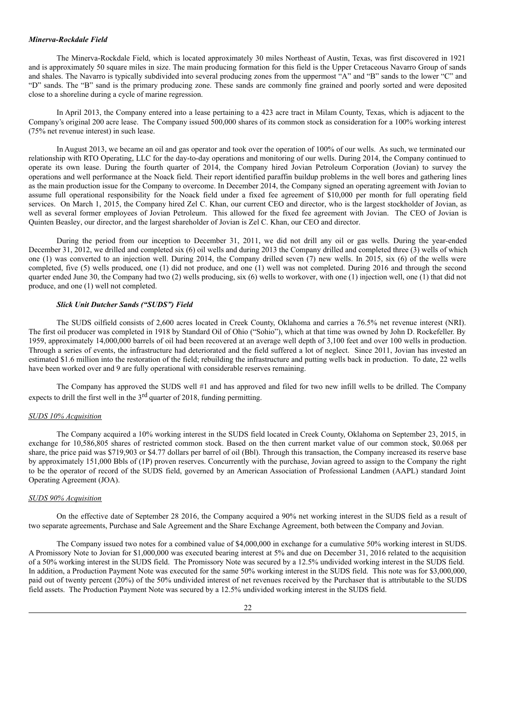#### *Minerva-Rockdale Field*

The Minerva-Rockdale Field, which is located approximately 30 miles Northeast of Austin, Texas, was first discovered in 1921 and is approximately 50 square miles in size. The main producing formation for this field is the Upper Cretaceous Navarro Group of sands and shales. The Navarro is typically subdivided into several producing zones from the uppermost "A" and "B" sands to the lower "C" and "D" sands. The "B" sand is the primary producing zone. These sands are commonly fine grained and poorly sorted and were deposited close to a shoreline during a cycle of marine regression.

In April 2013, the Company entered into a lease pertaining to a 423 acre tract in Milam County, Texas, which is adjacent to the Company's original 200 acre lease. The Company issued 500,000 shares of its common stock as consideration for a 100% working interest (75% net revenue interest) in such lease.

In August 2013, we became an oil and gas operator and took over the operation of 100% of our wells. As such, we terminated our relationship with RTO Operating, LLC for the day-to-day operations and monitoring of our wells. During 2014, the Company continued to operate its own lease. During the fourth quarter of 2014, the Company hired Jovian Petroleum Corporation (Jovian) to survey the operations and well performance at the Noack field. Their report identified paraffin buildup problems in the well bores and gathering lines as the main production issue for the Company to overcome. In December 2014, the Company signed an operating agreement with Jovian to assume full operational responsibility for the Noack field under a fixed fee agreement of \$10,000 per month for full operating field services. On March 1, 2015, the Company hired Zel C. Khan, our current CEO and director, who is the largest stockholder of Jovian, as well as several former employees of Jovian Petroleum. This allowed for the fixed fee agreement with Jovian. The CEO of Jovian is Quinten Beasley, our director, and the largest shareholder of Jovian is Zel C. Khan, our CEO and director.

During the period from our inception to December 31, 2011, we did not drill any oil or gas wells. During the year-ended December 31, 2012, we drilled and completed six (6) oil wells and during 2013 the Company drilled and completed three (3) wells of which one (1) was converted to an injection well. During 2014, the Company drilled seven (7) new wells. In 2015, six (6) of the wells were completed, five (5) wells produced, one (1) did not produce, and one (1) well was not completed. During 2016 and through the second quarter ended June 30, the Company had two (2) wells producing, six (6) wells to workover, with one (1) injection well, one (1) that did not produce, and one (1) well not completed.

#### *Slick Unit Dutcher Sands ("SUDS") Field*

The SUDS oilfield consists of 2,600 acres located in Creek County, Oklahoma and carries a 76.5% net revenue interest (NRI). The first oil producer was completed in 1918 by Standard Oil of Ohio ("Sohio"), which at that time was owned by John D. Rockefeller. By 1959, approximately 14,000,000 barrels of oil had been recovered at an average well depth of 3,100 feet and over 100 wells in production. Through a series of events, the infrastructure had deteriorated and the field suffered a lot of neglect. Since 2011, Jovian has invested an estimated \$1.6 million into the restoration of the field; rebuilding the infrastructure and putting wells back in production. To date, 22 wells have been worked over and 9 are fully operational with considerable reserves remaining.

The Company has approved the SUDS well #1 and has approved and filed for two new infill wells to be drilled. The Company expects to drill the first well in the  $3<sup>rd</sup>$  quarter of 2018, funding permitting.

#### *SUDS 10% Acquisition*

The Company acquired a 10% working interest in the SUDS field located in Creek County, Oklahoma on September 23, 2015, in exchange for 10,586,805 shares of restricted common stock. Based on the then current market value of our common stock, \$0.068 per share, the price paid was \$719,903 or \$4.77 dollars per barrel of oil (Bbl). Through this transaction, the Company increased its reserve base by approximately 151,000 Bbls of (1P) proven reserves. Concurrently with the purchase, Jovian agreed to assign to the Company the right to be the operator of record of the SUDS field, governed by an American Association of Professional Landmen (AAPL) standard Joint Operating Agreement (JOA).

#### *SUDS 90% Acquisition*

On the effective date of September 28 2016, the Company acquired a 90% net working interest in the SUDS field as a result of two separate agreements, Purchase and Sale Agreement and the Share Exchange Agreement, both between the Company and Jovian.

The Company issued two notes for a combined value of \$4,000,000 in exchange for a cumulative 50% working interest in SUDS. A Promissory Note to Jovian for \$1,000,000 was executed bearing interest at 5% and due on December 31, 2016 related to the acquisition of a 50% working interest in the SUDS field. The Promissory Note was secured by a 12.5% undivided working interest in the SUDS field. In addition, a Production Payment Note was executed for the same 50% working interest in the SUDS field. This note was for \$3,000,000, paid out of twenty percent (20%) of the 50% undivided interest of net revenues received by the Purchaser that is attributable to the SUDS field assets. The Production Payment Note was secured by a 12.5% undivided working interest in the SUDS field.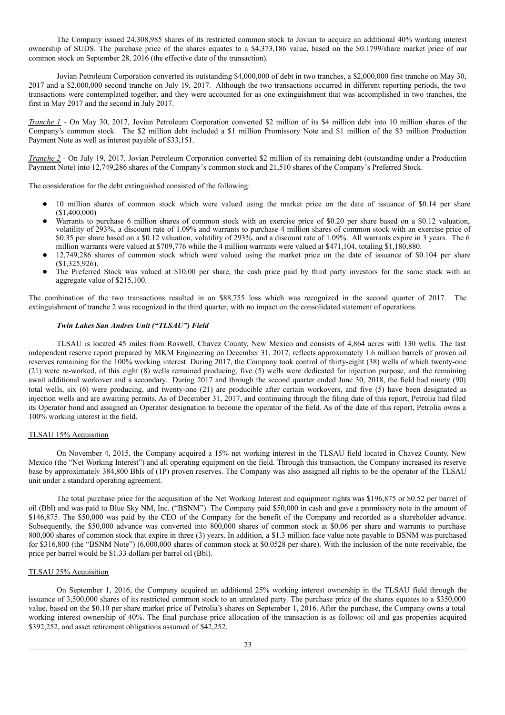The Company issued 24,308,985 shares of its restricted common stock to Jovian to acquire an additional 40% working interest ownership of SUDS. The purchase price of the shares equates to a \$4,373,186 value, based on the \$0.1799/share market price of our common stock on September 28, 2016 (the effective date of the transaction).

Jovian Petroleum Corporation converted its outstanding \$4,000,000 of debt in two tranches, a \$2,000,000 first tranche on May 30, 2017 and a \$2,000,000 second tranche on July 19, 2017. Although the two transactions occurred in different reporting periods, the two transactions were contemplated together, and they were accounted for as one extinguishment that was accomplished in two tranches, the first in May 2017 and the second in July 2017.

*Tranche 1* - On May 30, 2017, Jovian Petroleum Corporation converted \$2 million of its \$4 million debt into 10 million shares of the Company's common stock. The \$2 million debt included a \$1 million Promissory Note and \$1 million of the \$3 million Production Payment Note as well as interest payable of \$33,151.

*Tranche 2* - On July 19, 2017, Jovian Petroleum Corporation converted \$2 million of its remaining debt (outstanding under a Production Payment Note) into 12,749,286 shares of the Company's common stock and 21,510 shares of the Company's Preferred Stock.

The consideration for the debt extinguished consisted of the following:

- 10 million shares of common stock which were valued using the market price on the date of issuance of \$0.14 per share (\$1,400,000)
- Warrants to purchase 6 million shares of common stock with an exercise price of \$0.20 per share based on a \$0.12 valuation, volatility of 293%, a discount rate of 1.09% and warrants to purchase 4 million shares of common stock with an exercise price of \$0.35 per share based on a \$0.12 valuation, volatility of 293%, and a discount rate of 1.09%. All warrants expire in 3 years. The 6 million warrants were valued at \$709,776 while the 4 million warrants were valued at \$471,104, totaling \$1,180,880.
- $12,749,286$  shares of common stock which were valued using the market price on the date of issuance of \$0.104 per share (\$1,325,926).
- The Preferred Stock was valued at \$10.00 per share, the cash price paid by third party investors for the same stock with an aggregate value of \$215,100.

The combination of the two transactions resulted in an \$88,755 loss which was recognized in the second quarter of 2017. The extinguishment of tranche 2 was recognized in the third quarter, with no impact on the consolidated statement of operations.

#### *Twin Lakes San Andres Unit ("TLSAU") Field*

TLSAU is located 45 miles from Roswell, Chavez County, New Mexico and consists of 4,864 acres with 130 wells. The last independent reserve report prepared by MKM Engineering on December 31, 2017, reflects approximately 1.6 million barrels of proven oil reserves remaining for the 100% working interest. During 2017, the Company took control of thirty-eight (38) wells of which twenty-one (21) were re-worked, of this eight (8) wells remained producing, five (5) wells were dedicated for injection purpose, and the remaining await additional workover and a secondary. During 2017 and through the second quarter ended June 30, 2018, the field had ninety (90) total wells, six (6) were producing, and twenty-one (21) are producible after certain workovers, and five (5) have been designated as injection wells and are awaiting permits. As of December 31, 2017, and continuing through the filing date of this report, Petrolia had filed its Operator bond and assigned an Operator designation to become the operator of the field. As of the date of this report, Petrolia owns a 100% working interest in the field.

### TLSAU 15% Acquisition

On November 4, 2015, the Company acquired a 15% net working interest in the TLSAU field located in Chavez County, New Mexico (the "Net Working Interest") and all operating equipment on the field. Through this transaction, the Company increased its reserve base by approximately 384,800 Bbls of (1P) proven reserves. The Company was also assigned all rights to be the operator of the TLSAU unit under a standard operating agreement.

The total purchase price for the acquisition of the Net Working Interest and equipment rights was \$196,875 or \$0.52 per barrel of oil (Bbl) and was paid to Blue Sky NM, Inc. ("BSNM"). The Company paid \$50,000 in cash and gave a promissory note in the amount of \$146,875. The \$50,000 was paid by the CEO of the Company for the benefit of the Company and recorded as a shareholder advance. Subsequently, the \$50,000 advance was converted into 800,000 shares of common stock at \$0.06 per share and warrants to purchase 800,000 shares of common stock that expire in three (3) years. In addition, a \$1.3 million face value note payable to BSNM was purchased for \$316,800 (the "BSNM Note") (6,000,000 shares of common stock at \$0.0528 per share). With the inclusion of the note receivable, the price per barrel would be \$1.33 dollars per barrel oil (Bbl).

#### TLSAU 25% Acquisition

On September 1, 2016, the Company acquired an additional 25% working interest ownership in the TLSAU field through the issuance of 3,500,000 shares of its restricted common stock to an unrelated party. The purchase price of the shares equates to a \$350,000 value, based on the \$0.10 per share market price of Petrolia's shares on September 1, 2016. After the purchase, the Company owns a total working interest ownership of 40%. The final purchase price allocation of the transaction is as follows: oil and gas properties acquired \$392,252, and asset retirement obligations assumed of \$42,252.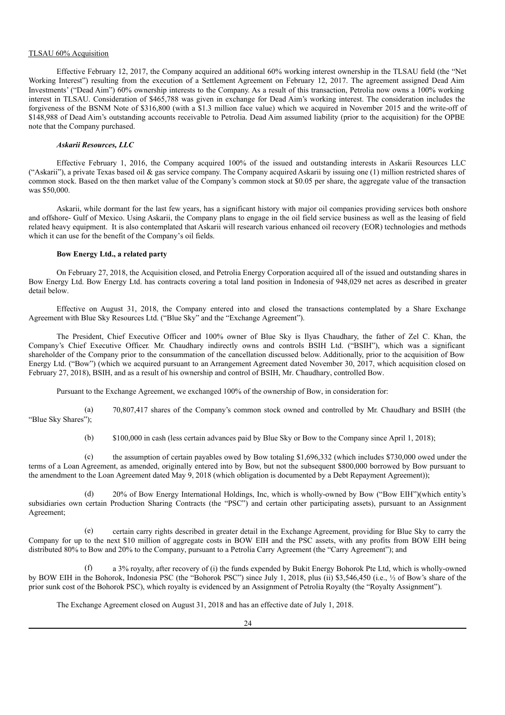# TLSAU 60% Acquisition

Effective February 12, 2017, the Company acquired an additional 60% working interest ownership in the TLSAU field (the "Net Working Interest") resulting from the execution of a Settlement Agreement on February 12, 2017. The agreement assigned Dead Aim Investments' ("Dead Aim") 60% ownership interests to the Company. As a result of this transaction, Petrolia now owns a 100% working interest in TLSAU. Consideration of \$465,788 was given in exchange for Dead Aim's working interest. The consideration includes the forgiveness of the BSNM Note of \$316,800 (with a \$1.3 million face value) which we acquired in November 2015 and the write-off of \$148,988 of Dead Aim's outstanding accounts receivable to Petrolia. Dead Aim assumed liability (prior to the acquisition) for the OPBE note that the Company purchased.

#### *Askarii Resources, LLC*

Effective February 1, 2016, the Company acquired 100% of the issued and outstanding interests in Askarii Resources LLC ("Askarii"), a private Texas based oil & gas service company. The Company acquired Askarii by issuing one (1) million restricted shares of common stock. Based on the then market value of the Company's common stock at \$0.05 per share, the aggregate value of the transaction was \$50,000.

Askarii, while dormant for the last few years, has a significant history with major oil companies providing services both onshore and offshore- Gulf of Mexico. Using Askarii, the Company plans to engage in the oil field service business as well as the leasing of field related heavy equipment. It is also contemplated that Askarii will research various enhanced oil recovery (EOR) technologies and methods which it can use for the benefit of the Company's oil fields.

#### **Bow Energy Ltd., a related party**

On February 27, 2018, the Acquisition closed, and Petrolia Energy Corporation acquired all of the issued and outstanding shares in Bow Energy Ltd. Bow Energy Ltd. has contracts covering a total land position in Indonesia of 948,029 net acres as described in greater detail below.

Effective on August 31, 2018, the Company entered into and closed the transactions contemplated by a Share Exchange Agreement with Blue Sky Resources Ltd. ("Blue Sky" and the "Exchange Agreement").

The President, Chief Executive Officer and 100% owner of Blue Sky is Ilyas Chaudhary, the father of Zel C. Khan, the Company's Chief Executive Officer. Mr. Chaudhary indirectly owns and controls BSIH Ltd. ("BSIH"), which was a significant shareholder of the Company prior to the consummation of the cancellation discussed below. Additionally, prior to the acquisition of Bow Energy Ltd. ("Bow") (which we acquired pursuant to an Arrangement Agreement dated November 30, 2017, which acquisition closed on February 27, 2018), BSIH, and as a result of his ownership and control of BSIH, Mr. Chaudhary, controlled Bow.

Pursuant to the Exchange Agreement, we exchanged 100% of the ownership of Bow, in consideration for:

(a) 70,807,417 shares of the Company's common stock owned and controlled by Mr. Chaudhary and BSIH (the "Blue Sky Shares");

(b) \$100,000 in cash (less certain advances paid by Blue Sky or Bow to the Company since April 1, 2018);

(c) the assumption of certain payables owed by Bow totaling \$1,696,332 (which includes \$730,000 owed under the terms of a Loan Agreement, as amended, originally entered into by Bow, but not the subsequent \$800,000 borrowed by Bow pursuant to the amendment to the Loan Agreement dated May 9, 2018 (which obligation is documented by a Debt Repayment Agreement));

(d) 20% of Bow Energy International Holdings, Inc, which is wholly-owned by Bow ("Bow EIH")(which entity's subsidiaries own certain Production Sharing Contracts (the "PSC") and certain other participating assets), pursuant to an Assignment Agreement;

(e) certain carry rights described in greater detail in the Exchange Agreement, providing for Blue Sky to carry the Company for up to the next \$10 million of aggregate costs in BOW EIH and the PSC assets, with any profits from BOW EIH being distributed 80% to Bow and 20% to the Company, pursuant to a Petrolia Carry Agreement (the "Carry Agreement"); and

a 3% royalty, after recovery of (i) the funds expended by Bukit Energy Bohorok Pte Ltd, which is wholly-owned by BOW EIH in the Bohorok, Indonesia PSC (the "Bohorok PSC") since July 1, 2018, plus (ii) \$3,546,450 (i.e., ½ of Bow's share of the prior sunk cost of the Bohorok PSC), which royalty is evidenced by an Assignment of Petrolia Royalty (the "Royalty Assignment").

The Exchange Agreement closed on August 31, 2018 and has an effective date of July 1, 2018.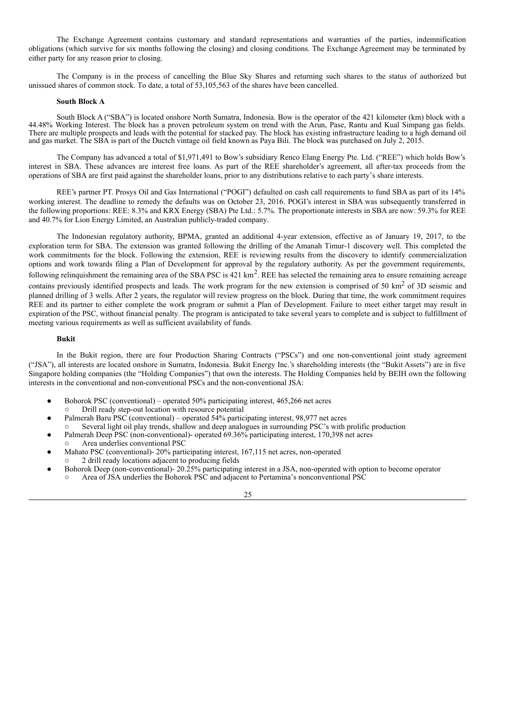The Exchange Agreement contains customary and standard representations and warranties of the parties, indemnification obligations (which survive for six months following the closing) and closing conditions. The Exchange Agreement may be terminated by either party for any reason prior to closing.

The Company is in the process of cancelling the Blue Sky Shares and returning such shares to the status of authorized but unissued shares of common stock. To date, a total of 53,105,563 of the shares have been cancelled.

#### **South Block A**

South Block A ("SBA") is located onshore North Sumatra, Indonesia. Bow is the operator of the 421 kilometer (km) block with a 44.48% Working Interest. The block has a proven petroleum system on trend with the Arun, Pase, Rantu and Kual Simpang gas fields. There are multiple prospects and leads with the potential for stacked pay. The block has existing infrastructure leading to a high demand oil and gas market. The SBA is part of the Ductch vintage oil field known as Paya Bili. The block was purchased on July 2, 2015.

The Company has advanced a total of \$1,971,491 to Bow's subsidiary Renco Elang Energy Pte. Ltd. ("REE") which holds Bow's interest in SBA. These advances are interest free loans. As part of the REE shareholder's agreement, all after-tax proceeds from the operations of SBA are first paid against the shareholder loans, prior to any distributions relative to each party's share interests.

REE's partner PT. Prosys Oil and Gas International ("POGI") defaulted on cash call requirements to fund SBA as part of its 14% working interest. The deadline to remedy the defaults was on October 23, 2016. POGI's interest in SBA was subsequently transferred in the following proportions: REE: 8.3% and KRX Energy (SBA) Pte Ltd.: 5.7%. The proportionate interests in SBA are now: 59.3% for REE and 40.7% for Lion Energy Limited, an Australian publicly-traded company.

The Indonesian regulatory authority, BPMA, granted an additional 4-year extension, effective as of January 19, 2017, to the exploration term for SBA. The extension was granted following the drilling of the Amanah Timur-1 discovery well. This completed the work commitments for the block. Following the extension, REE is reviewing results from the discovery to identify commercialization options and work towards filing a Plan of Development for approval by the regulatory authority. As per the government requirements, following relinquishment the remaining area of the SBA PSC is  $421 \text{ km}^2$ . REE has selected the remaining area to ensure remaining acreage contains previously identified prospects and leads. The work program for the new extension is comprised of 50  $\text{km}^2$  of 3D seismic and planned drilling of 3 wells. After 2 years, the regulator will review progress on the block. During that time, the work commitment requires REE and its partner to either complete the work program or submit a Plan of Development. Failure to meet either target may result in expiration of the PSC, without financial penalty. The program is anticipated to take several years to complete and is subject to fulfillment of meeting various requirements as well as sufficient availability of funds.

#### **Bukit**

In the Bukit region, there are four Production Sharing Contracts ("PSCs") and one non-conventional joint study agreement ("JSA"), all interests are located onshore in Sumatra, Indonesia. Bukit Energy Inc.'s shareholding interests (the "Bukit Assets") are in five Singapore holding companies (the "Holding Companies") that own the interests. The Holding Companies held by BEIH own the following interests in the conventional and non-conventional PSCs and the non-conventional JSA:

- Bohorok PSC (conventional) operated  $50\%$  participating interest,  $465,266$  net acres Drill ready step-out location with resource potential
- Palmerah Baru PSC (conventional) operated 54% participating interest, 98,977 net acres
- Several light oil play trends, shallow and deep analogues in surrounding PSC's with prolific production
- Palmerah Deep PSC (non-conventional)- operated  $69.36\%$  participating interest, 170,398 net acres Area underlies conventional PSC
- Mahato PSC (conventional)- 20% participating interest, 167,115 net acres, non-operated 2 drill ready locations adjacent to producing fields
- Bohorok Deep (non-conventional)- 20.25% participating interest in a JSA, non-operated with option to become operator Area of JSA underlies the Bohorok PSC and adjacent to Pertamina's nonconventional PSC

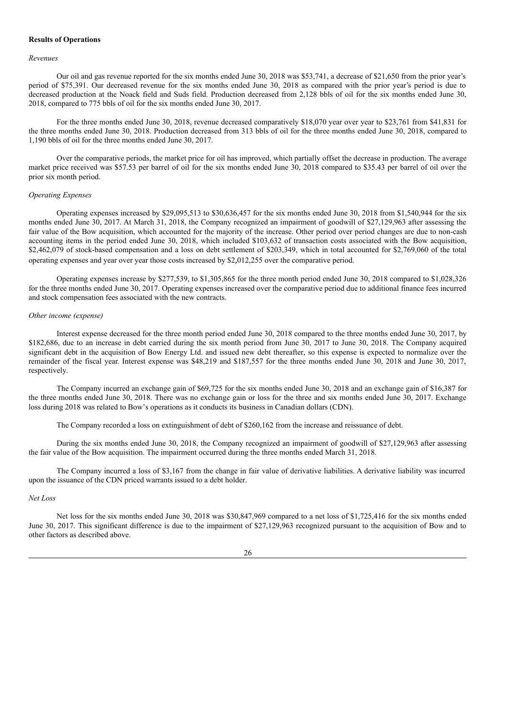#### **Results of Operations**

#### *Revenues*

Our oil and gas revenue reported for the six months ended June 30, 2018 was \$53,741, a decrease of \$21,650 from the prior year's period of \$75,391. Our decreased revenue for the six months ended June 30, 2018 as compared with the prior year's period is due to decreased production at the Noack field and Suds field. Production decreased from 2,128 bbls of oil for the six months ended June 30, 2018, compared to 775 bbls of oil for the six months ended June 30, 2017.

For the three months ended June 30, 2018, revenue decreased comparatively \$18,070 year over year to \$23,761 from \$41,831 for the three months ended June 30, 2018. Production decreased from 313 bbls of oil for the three months ended June 30, 2018, compared to 1,190 bbls of oil for the three months ended June 30, 2017.

Over the comparative periods, the market price for oil has improved, which partially offset the decrease in production. The average market price received was \$57.53 per barrel of oil for the six months ended June 30, 2018 compared to \$35.43 per barrel of oil over the prior six month period.

#### *Operating Expenses*

Operating expenses increased by \$29,095,513 to \$30,636,457 for the six months ended June 30, 2018 from \$1,540,944 for the six months ended June 30, 2017. At March 31, 2018, the Company recognized an impairment of goodwill of \$27,129,963 after assessing the fair value of the Bow acquisition, which accounted for the majority of the increase. Other period over period changes are due to non-cash accounting items in the period ended June 30, 2018, which included \$103,632 of transaction costs associated with the Bow acquisition, \$2,462,079 of stock-based compensation and a loss on debt settlement of \$203,349, which in total accounted for \$2,769,060 of the total operating expenses and year over year those costs increased by \$2,012,255 over the comparative period.

Operating expenses increase by \$277,539, to \$1,305,865 for the three month period ended June 30, 2018 compared to \$1,028,326 for the three months ended June 30, 2017. Operating expenses increased over the comparative period due to additional finance fees incurred and stock compensation fees associated with the new contracts.

#### *Other income (expense)*

Interest expense decreased for the three month period ended June 30, 2018 compared to the three months ended June 30, 2017, by \$182,686, due to an increase in debt carried during the six month period from June 30, 2017 to June 30, 2018. The Company acquired significant debt in the acquisition of Bow Energy Ltd. and issued new debt thereafter, so this expense is expected to normalize over the remainder of the fiscal year. Interest expense was \$48,219 and \$187,557 for the three months ended June 30, 2018 and June 30, 2017, respectively.

The Company incurred an exchange gain of \$69,725 for the six months ended June 30, 2018 and an exchange gain of \$16,387 for the three months ended June 30, 2018. There was no exchange gain or loss for the three and six months ended June 30, 2017. Exchange loss during 2018 was related to Bow's operations as it conducts its business in Canadian dollars (CDN).

The Company recorded a loss on extinguishment of debt of \$260,162 from the increase and reissuance of debt.

During the six months ended June 30, 2018, the Company recognized an impairment of goodwill of \$27,129,963 after assessing the fair value of the Bow acquisition. The impairment occurred during the three months ended March 31, 2018.

The Company incurred a loss of \$3,167 from the change in fair value of derivative liabilities. A derivative liability was incurred upon the issuance of the CDN priced warrants issued to a debt holder.

#### *Net Loss*

Net loss for the six months ended June 30, 2018 was \$30,847,969 compared to a net loss of \$1,725,416 for the six months ended June 30, 2017. This significant difference is due to the impairment of \$27,129,963 recognized pursuant to the acquisition of Bow and to other factors as described above.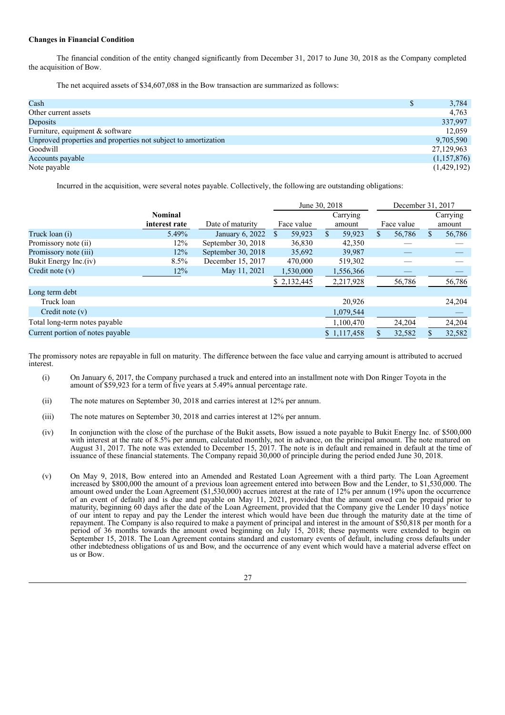#### **Changes in Financial Condition**

The financial condition of the entity changed significantly from December 31, 2017 to June 30, 2018 as the Company completed the acquisition of Bow.

The net acquired assets of \$34,607,088 in the Bow transaction are summarized as follows:

| Cash                                                           | S. | 3,784       |
|----------------------------------------------------------------|----|-------------|
| Other current assets                                           |    | 4.763       |
| Deposits                                                       |    | 337,997     |
| Furniture, equipment & software                                |    | 12.059      |
| Unproved properties and properties not subject to amortization |    | 9,705,590   |
| Goodwill                                                       |    | 27,129,963  |
| Accounts payable                                               |    | (1,157,876) |
| Note payable                                                   |    | (1,429,192) |
|                                                                |    |             |

Incurred in the acquisition, were several notes payable. Collectively, the following are outstanding obligations:

|                                  |                |                    |               | June 30, 2018        | December 31, 2017 |            |    |          |
|----------------------------------|----------------|--------------------|---------------|----------------------|-------------------|------------|----|----------|
|                                  | <b>Nominal</b> |                    |               | Carrying             |                   |            |    | Carrying |
|                                  | interest rate  | Date of maturity   |               | Face value<br>amount |                   | Face value |    | amount   |
| Truck loan (i)                   | 5.49%          | January 6, 2022    | 59,923<br>\$. | 59.923<br>S          | \$                | 56,786     | S. | 56,786   |
| Promissory note (ii)             | 12%            | September 30, 2018 | 36,830        | 42,350               |                   |            |    |          |
| Promissory note (iii)            | 12%            | September 30, 2018 | 35.692        | 39.987               |                   |            |    |          |
| Bukit Energy Inc.(iv)            | 8.5%           | December 15, 2017  | 470,000       | 519.302              |                   |            |    |          |
| Credit note $(v)$                | $12\%$         | May 11, 2021       | 1,530,000     | 1,556,366            |                   |            |    |          |
|                                  |                |                    | \$2,132,445   | 2,217,928            |                   | 56,786     |    | 56,786   |
| Long term debt                   |                |                    |               |                      |                   |            |    |          |
| Truck loan                       |                |                    |               | 20.926               |                   |            |    | 24,204   |
| Credit note $(v)$                |                |                    |               | 1,079,544            |                   |            |    |          |
| Total long-term notes payable    |                |                    |               | 1,100,470            |                   | 24,204     |    | 24,204   |
| Current portion of notes payable |                |                    |               | \$1,117,458          |                   | 32,582     |    | 32,582   |

The promissory notes are repayable in full on maturity. The difference between the face value and carrying amount is attributed to accrued interest.

- (i) On January 6, 2017, the Company purchased a truck and entered into an installment note with Don Ringer Toyota in the amount of \$59,923 for a term of five years at 5.49% annual percentage rate.
- (ii) The note matures on September 30, 2018 and carries interest at 12% per annum.
- (iii) The note matures on September 30, 2018 and carries interest at 12% per annum.
- (iv) In conjunction with the close of the purchase of the Bukit assets, Bow issued a note payable to Bukit Energy Inc. of \$500,000 with interest at the rate of 8.5% per annum, calculated monthly, not in advance, on the principal amount. The note matured on August 31, 2017. The note was extended to December 15, 2017. The note is in default and remained in default at the time of issuance of these financial statements. The Company repaid 30,000 of principle during the period ended June 30, 2018.
- (v) On May 9, 2018, Bow entered into an Amended and Restated Loan Agreement with a third party. The Loan Agreement increased by \$800,000 the amount of a previous loan agreement entered into between Bow and the Lender, to \$1,530,000. The amount owed under the Loan Agreement (\$1,530,000) accrues interest at the rate of 12% per annum (19% upon the occurrence of an event of default) and is due and payable on May 11, 2021, provided that the amount owed can be prepaid prior to maturity, beginning 60 days after the date of the Loan Agreement, provided that the Company give the Lender 10 days' notice of our intent to repay and pay the Lender the interest which would have been due through the maturity date at the time of repayment. The Company is also required to make a payment of principal and interest in the amount of \$50,818 per month for a period of 36 months towards the amount owed beginning on July 15, 2018; these payments were extended to begin on September 15, 2018. The Loan Agreement contains standard and customary events of default, including cross defaults under other indebtedness obligations of us and Bow, and the occurrence of any event which would have a material adverse effect on us or Bow.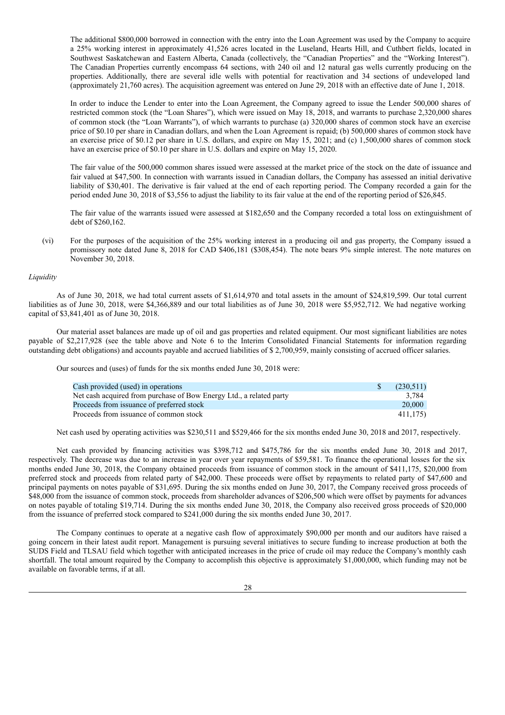The additional \$800,000 borrowed in connection with the entry into the Loan Agreement was used by the Company to acquire a 25% working interest in approximately 41,526 acres located in the Luseland, Hearts Hill, and Cuthbert fields, located in Southwest Saskatchewan and Eastern Alberta, Canada (collectively, the "Canadian Properties" and the "Working Interest"). The Canadian Properties currently encompass 64 sections, with 240 oil and 12 natural gas wells currently producing on the properties. Additionally, there are several idle wells with potential for reactivation and 34 sections of undeveloped land (approximately 21,760 acres). The acquisition agreement was entered on June 29, 2018 with an effective date of June 1, 2018.

In order to induce the Lender to enter into the Loan Agreement, the Company agreed to issue the Lender 500,000 shares of restricted common stock (the "Loan Shares"), which were issued on May 18, 2018, and warrants to purchase 2,320,000 shares of common stock (the "Loan Warrants"), of which warrants to purchase (a) 320,000 shares of common stock have an exercise price of \$0.10 per share in Canadian dollars, and when the Loan Agreement is repaid; (b) 500,000 shares of common stock have an exercise price of \$0.12 per share in U.S. dollars, and expire on May 15, 2021; and (c) 1,500,000 shares of common stock have an exercise price of \$0.10 per share in U.S. dollars and expire on May 15, 2020.

The fair value of the 500,000 common shares issued were assessed at the market price of the stock on the date of issuance and fair valued at \$47,500. In connection with warrants issued in Canadian dollars, the Company has assessed an initial derivative liability of \$30,401. The derivative is fair valued at the end of each reporting period. The Company recorded a gain for the period ended June 30, 2018 of \$3,556 to adjust the liability to its fair value at the end of the reporting period of \$26,845.

The fair value of the warrants issued were assessed at \$182,650 and the Company recorded a total loss on extinguishment of debt of \$260,162.

(vi) For the purposes of the acquisition of the 25% working interest in a producing oil and gas property, the Company issued a promissory note dated June 8, 2018 for CAD \$406,181 (\$308,454). The note bears 9% simple interest. The note matures on November 30, 2018.

#### *Liquidity*

As of June 30, 2018, we had total current assets of \$1,614,970 and total assets in the amount of \$24,819,599. Our total current liabilities as of June 30, 2018, were \$4,366,889 and our total liabilities as of June 30, 2018 were \$5,952,712. We had negative working capital of \$3,841,401 as of June 30, 2018.

Our material asset balances are made up of oil and gas properties and related equipment. Our most significant liabilities are notes payable of \$2,217,928 (see the table above and Note 6 to the Interim Consolidated Financial Statements for information regarding outstanding debt obligations) and accounts payable and accrued liabilities of \$ 2,700,959, mainly consisting of accrued officer salaries.

Our sources and (uses) of funds for the six months ended June 30, 2018 were:

| Cash provided (used) in operations                                  | (230,511) |
|---------------------------------------------------------------------|-----------|
| Net cash acquired from purchase of Bow Energy Ltd., a related party | 3.784     |
| Proceeds from issuance of preferred stock                           | 20,000    |
| Proceeds from issuance of common stock                              | 411.175)  |

Net cash used by operating activities was \$230,511 and \$529,466 for the six months ended June 30, 2018 and 2017, respectively.

Net cash provided by financing activities was \$398,712 and \$475,786 for the six months ended June 30, 2018 and 2017, respectively. The decrease was due to an increase in year over year repayments of \$59,581. To finance the operational losses for the six months ended June 30, 2018, the Company obtained proceeds from issuance of common stock in the amount of \$411,175, \$20,000 from preferred stock and proceeds from related party of \$42,000. These proceeds were offset by repayments to related party of \$47,600 and principal payments on notes payable of \$31,695. During the six months ended on June 30, 2017, the Company received gross proceeds of \$48,000 from the issuance of common stock, proceeds from shareholder advances of \$206,500 which were offset by payments for advances on notes payable of totaling \$19,714. During the six months ended June 30, 2018, the Company also received gross proceeds of \$20,000 from the issuance of preferred stock compared to \$241,000 during the six months ended June 30, 2017.

The Company continues to operate at a negative cash flow of approximately \$90,000 per month and our auditors have raised a going concern in their latest audit report. Management is pursuing several initiatives to secure funding to increase production at both the SUDS Field and TLSAU field which together with anticipated increases in the price of crude oil may reduce the Company's monthly cash shortfall. The total amount required by the Company to accomplish this objective is approximately \$1,000,000, which funding may not be available on favorable terms, if at all.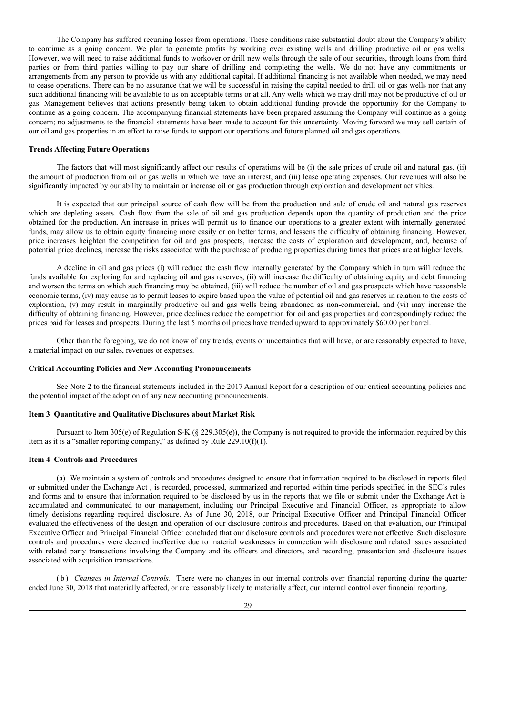The Company has suffered recurring losses from operations. These conditions raise substantial doubt about the Company's ability to continue as a going concern. We plan to generate profits by working over existing wells and drilling productive oil or gas wells. However, we will need to raise additional funds to workover or drill new wells through the sale of our securities, through loans from third parties or from third parties willing to pay our share of drilling and completing the wells. We do not have any commitments or arrangements from any person to provide us with any additional capital. If additional financing is not available when needed, we may need to cease operations. There can be no assurance that we will be successful in raising the capital needed to drill oil or gas wells nor that any such additional financing will be available to us on acceptable terms or at all. Any wells which we may drill may not be productive of oil or gas. Management believes that actions presently being taken to obtain additional funding provide the opportunity for the Company to continue as a going concern. The accompanying financial statements have been prepared assuming the Company will continue as a going concern; no adjustments to the financial statements have been made to account for this uncertainty. Moving forward we may sell certain of our oil and gas properties in an effort to raise funds to support our operations and future planned oil and gas operations.

#### **Trends Affecting Future Operations**

The factors that will most significantly affect our results of operations will be (i) the sale prices of crude oil and natural gas, (ii) the amount of production from oil or gas wells in which we have an interest, and (iii) lease operating expenses. Our revenues will also be significantly impacted by our ability to maintain or increase oil or gas production through exploration and development activities.

It is expected that our principal source of cash flow will be from the production and sale of crude oil and natural gas reserves which are depleting assets. Cash flow from the sale of oil and gas production depends upon the quantity of production and the price obtained for the production. An increase in prices will permit us to finance our operations to a greater extent with internally generated funds, may allow us to obtain equity financing more easily or on better terms, and lessens the difficulty of obtaining financing. However, price increases heighten the competition for oil and gas prospects, increase the costs of exploration and development, and, because of potential price declines, increase the risks associated with the purchase of producing properties during times that prices are at higher levels.

A decline in oil and gas prices (i) will reduce the cash flow internally generated by the Company which in turn will reduce the funds available for exploring for and replacing oil and gas reserves, (ii) will increase the difficulty of obtaining equity and debt financing and worsen the terms on which such financing may be obtained, (iii) will reduce the number of oil and gas prospects which have reasonable economic terms, (iv) may cause us to permit leases to expire based upon the value of potential oil and gas reserves in relation to the costs of exploration, (v) may result in marginally productive oil and gas wells being abandoned as non-commercial, and (vi) may increase the difficulty of obtaining financing. However, price declines reduce the competition for oil and gas properties and correspondingly reduce the prices paid for leases and prospects. During the last 5 months oil prices have trended upward to approximately \$60.00 per barrel.

Other than the foregoing, we do not know of any trends, events or uncertainties that will have, or are reasonably expected to have, a material impact on our sales, revenues or expenses.

#### **Critical Accounting Policies and New Accounting Pronouncements**

See Note 2 to the financial statements included in the 2017 Annual Report for a description of our critical accounting policies and the potential impact of the adoption of any new accounting pronouncements.

#### **Item 3 Quantitative and Qualitative Disclosures about Market Risk**

Pursuant to Item 305(e) of Regulation S-K (§ 229.305(e)), the Company is not required to provide the information required by this Item as it is a "smaller reporting company," as defined by Rule  $229.10(f)(1)$ .

### **Item 4 Controls and Procedures**

(a) We maintain a system of controls and procedures designed to ensure that information required to be disclosed in reports filed or submitted under the Exchange Act , is recorded, processed, summarized and reported within time periods specified in the SEC's rules and forms and to ensure that information required to be disclosed by us in the reports that we file or submit under the Exchange Act is accumulated and communicated to our management, including our Principal Executive and Financial Officer, as appropriate to allow timely decisions regarding required disclosure. As of June 30, 2018, our Principal Executive Officer and Principal Financial Officer evaluated the effectiveness of the design and operation of our disclosure controls and procedures. Based on that evaluation, our Principal Executive Officer and Principal Financial Officer concluded that our disclosure controls and procedures were not effective. Such disclosure controls and procedures were deemed ineffective due to material weaknesses in connection with disclosure and related issues associated with related party transactions involving the Company and its officers and directors, and recording, presentation and disclosure issues associated with acquisition transactions.

(b) *Changes in Internal Controls*. There were no changes in our internal controls over financial reporting during the quarter ended June 30, 2018 that materially affected, or are reasonably likely to materially affect, our internal control over financial reporting.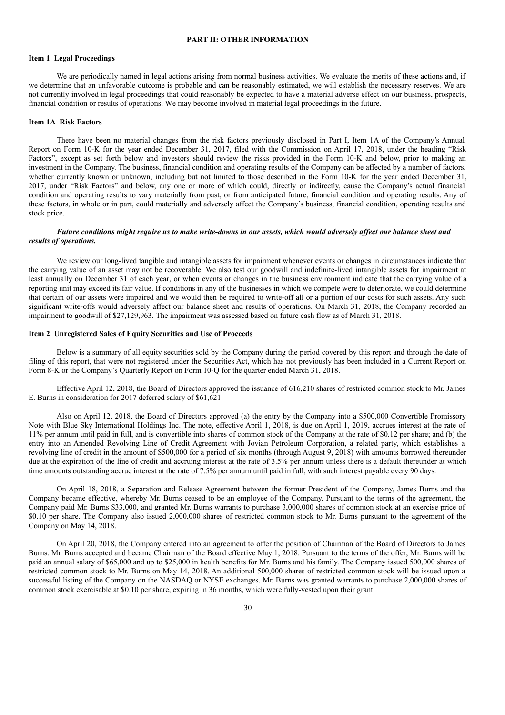#### **PART II: OTHER INFORMATION**

#### **Item 1 Legal Proceedings**

We are periodically named in legal actions arising from normal business activities. We evaluate the merits of these actions and, if we determine that an unfavorable outcome is probable and can be reasonably estimated, we will establish the necessary reserves. We are not currently involved in legal proceedings that could reasonably be expected to have a material adverse effect on our business, prospects, financial condition or results of operations. We may become involved in material legal proceedings in the future.

#### **Item 1A Risk Factors**

There have been no material changes from the risk factors previously disclosed in Part I, Item 1A of the Company's Annual Report on Form 10-K for the year ended December 31, 2017, filed with the Commission on April 17, 2018, under the heading "Risk Factors", except as set forth below and investors should review the risks provided in the Form 10-K and below, prior to making an investment in the Company. The business, financial condition and operating results of the Company can be affected by a number of factors, whether currently known or unknown, including but not limited to those described in the Form 10-K for the year ended December 31, 2017, under "Risk Factors" and below, any one or more of which could, directly or indirectly, cause the Company's actual financial condition and operating results to vary materially from past, or from anticipated future, financial condition and operating results. Any of these factors, in whole or in part, could materially and adversely affect the Company's business, financial condition, operating results and stock price.

#### Future conditions might require us to make write-downs in our assets, which would adversely affect our balance sheet and *results of operations.*

We review our long-lived tangible and intangible assets for impairment whenever events or changes in circumstances indicate that the carrying value of an asset may not be recoverable. We also test our goodwill and indefinite-lived intangible assets for impairment at least annually on December 31 of each year, or when events or changes in the business environment indicate that the carrying value of a reporting unit may exceed its fair value. If conditions in any of the businesses in which we compete were to deteriorate, we could determine that certain of our assets were impaired and we would then be required to write-off all or a portion of our costs for such assets. Any such significant write-offs would adversely affect our balance sheet and results of operations. On March 31, 2018, the Company recorded an impairment to goodwill of \$27,129,963. The impairment was assessed based on future cash flow as of March 31, 2018.

#### **Item 2 Unregistered Sales of Equity Securities and Use of Proceeds**

Below is a summary of all equity securities sold by the Company during the period covered by this report and through the date of filing of this report, that were not registered under the Securities Act, which has not previously has been included in a Current Report on Form 8-K or the Company's Quarterly Report on Form 10-Q for the quarter ended March 31, 2018.

Effective April 12, 2018, the Board of Directors approved the issuance of 616,210 shares of restricted common stock to Mr. James E. Burns in consideration for 2017 deferred salary of \$61,621.

Also on April 12, 2018, the Board of Directors approved (a) the entry by the Company into a \$500,000 Convertible Promissory Note with Blue Sky International Holdings Inc. The note, effective April 1, 2018, is due on April 1, 2019, accrues interest at the rate of 11% per annum until paid in full, and is convertible into shares of common stock of the Company at the rate of \$0.12 per share; and (b) the entry into an Amended Revolving Line of Credit Agreement with Jovian Petroleum Corporation, a related party, which establishes a revolving line of credit in the amount of \$500,000 for a period of six months (through August 9, 2018) with amounts borrowed thereunder due at the expiration of the line of credit and accruing interest at the rate of 3.5% per annum unless there is a default thereunder at which time amounts outstanding accrue interest at the rate of 7.5% per annum until paid in full, with such interest payable every 90 days.

On April 18, 2018, a Separation and Release Agreement between the former President of the Company, James Burns and the Company became effective, whereby Mr. Burns ceased to be an employee of the Company. Pursuant to the terms of the agreement, the Company paid Mr. Burns \$33,000, and granted Mr. Burns warrants to purchase 3,000,000 shares of common stock at an exercise price of \$0.10 per share. The Company also issued 2,000,000 shares of restricted common stock to Mr. Burns pursuant to the agreement of the Company on May 14, 2018.

On April 20, 2018, the Company entered into an agreement to offer the position of Chairman of the Board of Directors to James Burns. Mr. Burns accepted and became Chairman of the Board effective May 1, 2018. Pursuant to the terms of the offer, Mr. Burns will be paid an annual salary of \$65,000 and up to \$25,000 in health benefits for Mr. Burns and his family. The Company issued 500,000 shares of restricted common stock to Mr. Burns on May 14, 2018. An additional 500,000 shares of restricted common stock will be issued upon a successful listing of the Company on the NASDAQ or NYSE exchanges. Mr. Burns was granted warrants to purchase 2,000,000 shares of common stock exercisable at \$0.10 per share, expiring in 36 months, which were fully-vested upon their grant.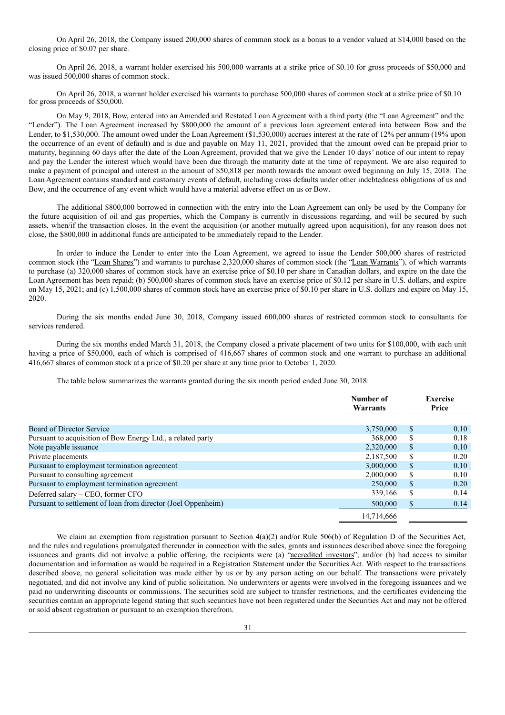On April 26, 2018, the Company issued 200,000 shares of common stock as a bonus to a vendor valued at \$14,000 based on the closing price of \$0.07 per share.

On April 26, 2018, a warrant holder exercised his 500,000 warrants at a strike price of \$0.10 for gross proceeds of \$50,000 and was issued 500,000 shares of common stock.

On April 26, 2018, a warrant holder exercised his warrants to purchase 500,000 shares of common stock at a strike price of \$0.10 for gross proceeds of \$50,000.

On May 9, 2018, Bow, entered into an Amended and Restated Loan Agreement with a third party (the "Loan Agreement" and the "Lender"). The Loan Agreement increased by \$800,000 the amount of a previous loan agreement entered into between Bow and the Lender, to \$1,530,000. The amount owed under the Loan Agreement (\$1,530,000) accrues interest at the rate of 12% per annum (19% upon the occurrence of an event of default) and is due and payable on May 11, 2021, provided that the amount owed can be prepaid prior to maturity, beginning 60 days after the date of the Loan Agreement, provided that we give the Lender 10 days' notice of our intent to repay and pay the Lender the interest which would have been due through the maturity date at the time of repayment. We are also required to make a payment of principal and interest in the amount of \$50,818 per month towards the amount owed beginning on July 15, 2018. The Loan Agreement contains standard and customary events of default, including cross defaults under other indebtedness obligations of us and Bow, and the occurrence of any event which would have a material adverse effect on us or Bow.

The additional \$800,000 borrowed in connection with the entry into the Loan Agreement can only be used by the Company for the future acquisition of oil and gas properties, which the Company is currently in discussions regarding, and will be secured by such assets, when/if the transaction closes. In the event the acquisition (or another mutually agreed upon acquisition), for any reason does not close, the \$800,000 in additional funds are anticipated to be immediately repaid to the Lender.

In order to induce the Lender to enter into the Loan Agreement, we agreed to issue the Lender 500,000 shares of restricted common stock (the "Loan Shares") and warrants to purchase 2,320,000 shares of common stock (the "Loan Warrants"), of which warrants to purchase (a) 320,000 shares of common stock have an exercise price of \$0.10 per share in Canadian dollars, and expire on the date the Loan Agreement has been repaid; (b) 500,000 shares of common stock have an exercise price of \$0.12 per share in U.S. dollars, and expire on May 15, 2021; and (c) 1,500,000 shares of common stock have an exercise price of \$0.10 per share in U.S. dollars and expire on May 15, 2020.

During the six months ended June 30, 2018, Company issued 600,000 shares of restricted common stock to consultants for services rendered.

During the six months ended March 31, 2018, the Company closed a private placement of two units for \$100,000, with each unit having a price of \$50,000, each of which is comprised of 416,667 shares of common stock and one warrant to purchase an additional 416,667 shares of common stock at a price of \$0.20 per share at any time prior to October 1, 2020.

The table below summarizes the warrants granted during the six month period ended June 30, 2018:

|                                                               | Number of<br>Warrants |     | <b>Exercise</b><br>Price |  |
|---------------------------------------------------------------|-----------------------|-----|--------------------------|--|
| Board of Director Service                                     | 3,750,000             | \$  | 0.10                     |  |
| Pursuant to acquisition of Bow Energy Ltd., a related party   | 368,000               | \$. | 0.18                     |  |
| Note payable issuance                                         | 2,320,000             | S   | 0.10                     |  |
| Private placements                                            | 2,187,500             | \$  | 0.20                     |  |
| Pursuant to employment termination agreement                  | 3,000,000             | \$. | 0.10                     |  |
| Pursuant to consulting agreement                              | 2,000,000             | \$  | 0.10                     |  |
| Pursuant to employment termination agreement                  | 250,000               | \$  | 0.20                     |  |
| Deferred salary – CEO, former CFO                             | 339,166               | S   | 0.14                     |  |
| Pursuant to settlement of loan from director (Joel Oppenheim) | 500,000               |     | 0.14                     |  |
|                                                               | 14,714,666            |     |                          |  |

We claim an exemption from registration pursuant to Section 4(a)(2) and/or Rule 506(b) of Regulation D of the Securities Act, and the rules and regulations promulgated thereunder in connection with the sales, grants and issuances described above since the foregoing issuances and grants did not involve a public offering, the recipients were (a) "accredited investors", and/or (b) had access to similar documentation and information as would be required in a Registration Statement under the Securities Act. With respect to the transactions described above, no general solicitation was made either by us or by any person acting on our behalf. The transactions were privately negotiated, and did not involve any kind of public solicitation. No underwriters or agents were involved in the foregoing issuances and we paid no underwriting discounts or commissions. The securities sold are subject to transfer restrictions, and the certificates evidencing the securities contain an appropriate legend stating that such securities have not been registered under the Securities Act and may not be offered or sold absent registration or pursuant to an exemption therefrom.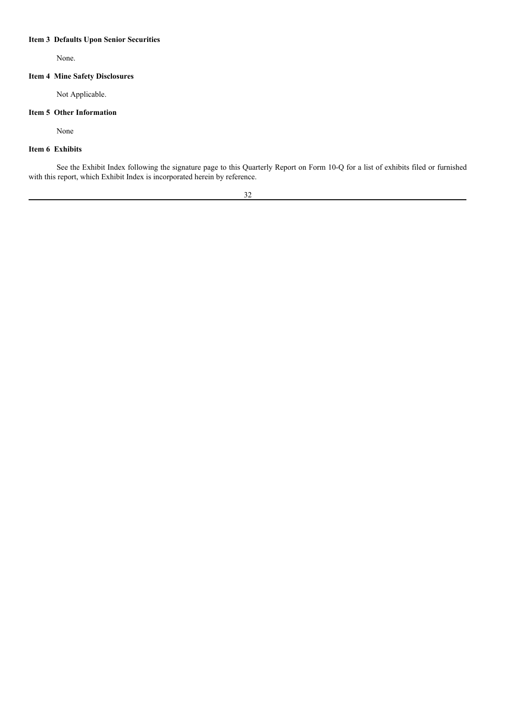# **Item 3 Defaults Upon Senior Securities**

None.

# **Item 4 Mine Safety Disclosures**

Not Applicable.

# **Item 5 Other Information**

None

# **Item 6 Exhibits**

See the Exhibit Index following the signature page to this Quarterly Report on Form 10-Q for a list of exhibits filed or furnished with this report, which Exhibit Index is incorporated herein by reference.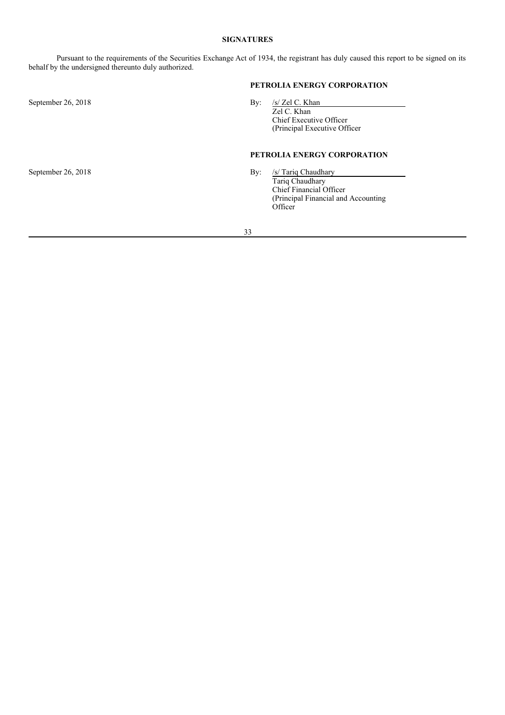### **SIGNATURES**

Pursuant to the requirements of the Securities Exchange Act of 1934, the registrant has duly caused this report to be signed on its behalf by the undersigned thereunto duly authorized.

September 26, 2018 By:

# **PETROLIA ENERGY CORPORATION**

/s/ Zel C. Khan<br>Zel C. Khan Chief Executive Officer (Principal Executive Officer

# **PETROLIA ENERGY CORPORATION**

September 26, 2018 **By:** /s/ Tariq Chaudhary Tariq Chaudhary Chief Financial Officer (Principal Financial and Accounting **Officer**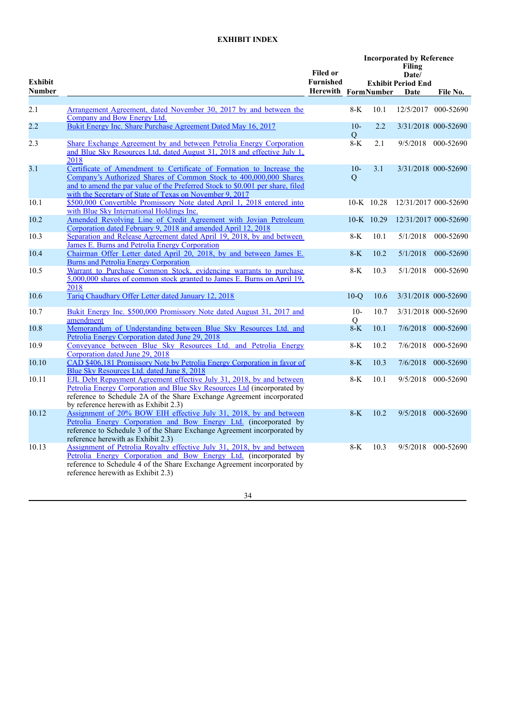# **EXHIBIT INDEX**

|                |                                                                                                                                              |                  | <b>Incorporated by Reference</b> |                   |                           |                      |
|----------------|----------------------------------------------------------------------------------------------------------------------------------------------|------------------|----------------------------------|-------------------|---------------------------|----------------------|
|                |                                                                                                                                              | <b>Filed or</b>  |                                  | Filing<br>Date/   |                           |                      |
| <b>Exhibit</b> |                                                                                                                                              | <b>Furnished</b> |                                  |                   | <b>Exhibit Period End</b> |                      |
| Number         |                                                                                                                                              | Herewith         |                                  | <b>FormNumber</b> | Date                      | File No.             |
|                |                                                                                                                                              |                  |                                  |                   |                           |                      |
| 2.1            | Arrangement Agreement, dated November 30, 2017 by and between the<br>Company and Bow Energy Ltd.                                             |                  | $8-K$                            | 10.1              |                           | 12/5/2017 000-52690  |
| 2.2            | Bukit Energy Inc. Share Purchase Agreement Dated May 16, 2017                                                                                |                  | $10-$                            | 2.2               |                           | 3/31/2018 000-52690  |
|                |                                                                                                                                              |                  | $\overline{Q}$                   |                   |                           |                      |
| 2.3            | Share Exchange Agreement by and between Petrolia Energy Corporation                                                                          |                  | $8-K$                            | 2.1               |                           | 9/5/2018 000-52690   |
|                | and Blue Sky Resources Ltd, dated August 31, 2018 and effective July 1,                                                                      |                  |                                  |                   |                           |                      |
|                | 2018                                                                                                                                         |                  | $10-$                            | 3.1               |                           |                      |
| 3.1            | Certificate of Amendment to Certificate of Formation to Increase the<br>Company's Authorized Shares of Common Stock to 400,000,000 Shares    |                  | Q                                |                   |                           | 3/31/2018 000-52690  |
|                | and to amend the par value of the Preferred Stock to \$0.001 per share, filed                                                                |                  |                                  |                   |                           |                      |
|                | with the Secretary of State of Texas on November 9, 2017                                                                                     |                  |                                  |                   |                           |                      |
| 10.1           | \$500,000 Convertible Promissory Note dated April 1, 2018 entered into                                                                       |                  |                                  | 10-K 10.28        |                           | 12/31/2017 000-52690 |
|                | with Blue Sky International Holdings Inc.                                                                                                    |                  |                                  |                   |                           |                      |
| 10.2           | Amended Revolving Line of Credit Agreement with Jovian Petroleum<br>Corporation dated February 9, 2018 and amended April 12, 2018            |                  |                                  | 10-K 10.29        |                           | 12/31/2017 000-52690 |
| 10.3           | Separation and Release Agreement dated April 19, 2018, by and between                                                                        |                  | $8-K$                            | 10.1              | 5/1/2018                  | 000-52690            |
|                | James E. Burns and Petrolia Energy Corporation                                                                                               |                  |                                  |                   |                           |                      |
| 10.4           | Chairman Offer Letter dated April 20, 2018, by and between James E.                                                                          |                  | $8-K$                            | 10.2              | 5/1/2018                  | 000-52690            |
|                | <b>Burns and Petrolia Energy Corporation</b>                                                                                                 |                  |                                  |                   |                           |                      |
| 10.5           | Warrant to Purchase Common Stock, evidencing warrants to purchase<br>5,000,000 shares of common stock granted to James E. Burns on April 19, |                  | $8-K$                            | 10.3              | 5/1/2018                  | 000-52690            |
|                | 2018                                                                                                                                         |                  |                                  |                   |                           |                      |
| 10.6           | Tariq Chaudhary Offer Letter dated January 12, 2018                                                                                          |                  | $10-o$                           | 10.6              |                           | 3/31/2018 000-52690  |
|                |                                                                                                                                              |                  |                                  |                   |                           |                      |
| 10.7           | Bukit Energy Inc. \$500,000 Promissory Note dated August 31, 2017 and<br>amendment                                                           |                  | $10-$<br>Q                       | 10.7              |                           | 3/31/2018 000-52690  |
| 10.8           | Memorandum of Understanding between Blue Sky Resources Ltd. and                                                                              |                  | $8-K$                            | 10.1              | 7/6/2018                  | 000-52690            |
|                | Petrolia Energy Corporation dated June 29, 2018                                                                                              |                  |                                  |                   |                           |                      |
| 10.9           | Conveyance between Blue Sky Resources Ltd. and Petrolia Energy                                                                               |                  | $8-K$                            | 10.2              | 7/6/2018                  | 000-52690            |
|                | Corporation dated June 29, 2018                                                                                                              |                  |                                  |                   |                           |                      |
| 10.10          | CAD \$406,181 Promissory Note by Petrolia Energy Corporation in favor of<br>Blue Sky Resources Ltd. dated June 8, 2018                       |                  | $8-K$                            | 10.3              | 7/6/2018                  | 000-52690            |
| 10.11          | EJL Debt Repayment Agreement effective July 31, 2018, by and between                                                                         |                  | $8-K$                            | 10.1              | 9/5/2018                  | 000-52690            |
|                | Petrolia Energy Corporation and Blue Sky Resources Ltd (incorporated by                                                                      |                  |                                  |                   |                           |                      |
|                | reference to Schedule 2A of the Share Exchange Agreement incorporated                                                                        |                  |                                  |                   |                           |                      |
|                | by reference herewith as Exhibit 2.3)                                                                                                        |                  |                                  |                   |                           |                      |
| 10.12          | Assignment of 20% BOW EIH effective July 31, 2018, by and between<br>Petrolia Energy Corporation and Bow Energy Ltd. (incorporated by        |                  | $8-K$                            | 10.2              | 9/5/2018                  | 000-52690            |
|                | reference to Schedule 3 of the Share Exchange Agreement incorporated by                                                                      |                  |                                  |                   |                           |                      |
|                | reference herewith as Exhibit 2.3)                                                                                                           |                  |                                  |                   |                           |                      |
| 10.13          | Assignment of Petrolia Royalty effective July 31, 2018, by and between                                                                       |                  | $8-K$                            | 10.3              |                           | 9/5/2018 000-52690   |
|                | Petrolia Energy Corporation and Bow Energy Ltd. (incorporated by                                                                             |                  |                                  |                   |                           |                      |
|                | reference to Schedule 4 of the Share Exchange Agreement incorporated by<br>reference herewith as Exhibit 2.3)                                |                  |                                  |                   |                           |                      |
|                |                                                                                                                                              |                  |                                  |                   |                           |                      |

34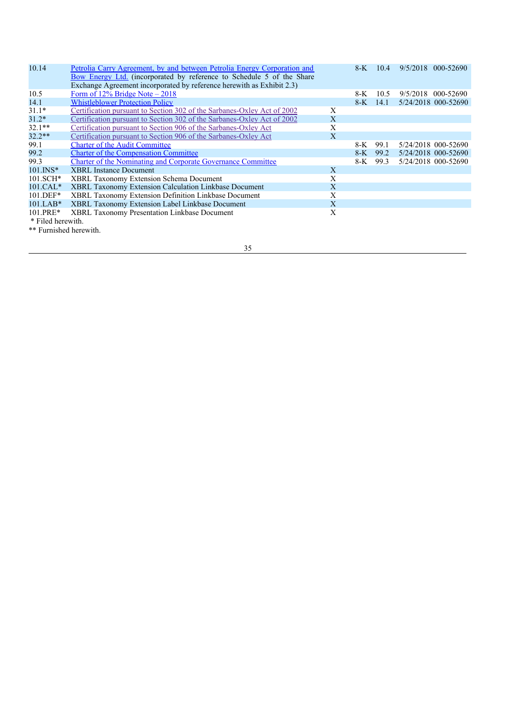| 10.14             | Petrolia Carry Agreement, by and between Petrolia Energy Corporation and     |              | 8-K   | 10.4 | 9/5/2018 000-52690  |
|-------------------|------------------------------------------------------------------------------|--------------|-------|------|---------------------|
|                   | <b>Bow Energy Ltd.</b> (incorporated by reference to Schedule 5 of the Share |              |       |      |                     |
|                   | Exchange Agreement incorporated by reference herewith as Exhibit 2.3)        |              |       |      |                     |
| 10.5              | Form of $12\%$ Bridge Note $-2018$                                           |              | 8-K   | 10.5 | 9/5/2018 000-52690  |
| 14.1              | <b>Whistleblower Protection Policy</b>                                       |              | $8-K$ | 14.1 | 5/24/2018 000-52690 |
| $31.1*$           | Certification pursuant to Section 302 of the Sarbanes-Oxley Act of 2002      | X            |       |      |                     |
| $31.2*$           | Certification pursuant to Section 302 of the Sarbanes-Oxley Act of 2002      | X            |       |      |                     |
| $32.1**$          | Certification pursuant to Section 906 of the Sarbanes-Oxley Act              | X            |       |      |                     |
| $32.2**$          | Certification pursuant to Section 906 of the Sarbanes-Oxley Act              | $\mathbf{X}$ |       |      |                     |
| 99.1              | <b>Charter of the Audit Committee</b>                                        |              | 8-K   | 99.1 | 5/24/2018 000-52690 |
| 99.2              | <b>Charter of the Compensation Committee</b>                                 |              | $8-K$ | 99.2 | 5/24/2018 000-52690 |
| 99.3              | <b>Charter of the Nominating and Corporate Governance Committee</b>          |              | 8-K   | 99.3 | 5/24/2018 000-52690 |
| $101$ . INS*      | <b>XBRL</b> Instance Document                                                | X            |       |      |                     |
| 101.SCH*          | XBRL Taxonomy Extension Schema Document                                      | X            |       |      |                     |
| $101.CAL*$        | <b>XBRL Taxonomy Extension Calculation Linkbase Document</b>                 | X            |       |      |                     |
| $101.DEF*$        | XBRL Taxonomy Extension Definition Linkbase Document                         | X            |       |      |                     |
| $101.LAB*$        | XBRL Taxonomy Extension Label Linkbase Document                              | X            |       |      |                     |
| $101.PRE*$        | <b>XBRL Taxonomy Presentation Linkbase Document</b>                          | Х            |       |      |                     |
| * Filed herewith. |                                                                              |              |       |      |                     |

\*\* Furnished herewith.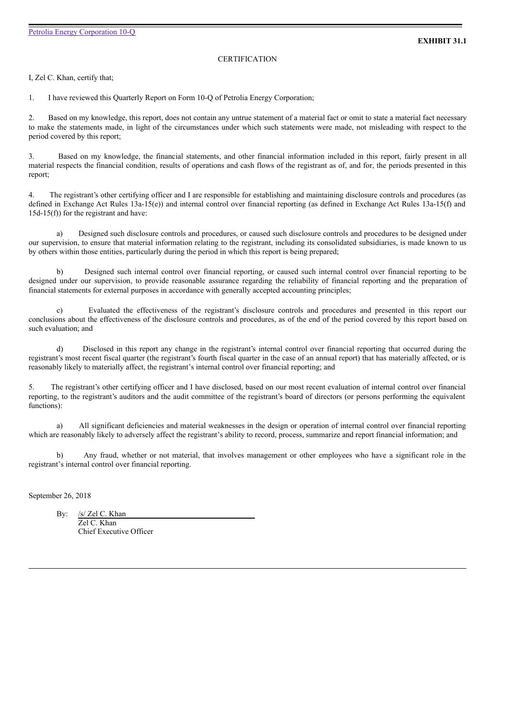#### **CERTIFICATION**

I, Zel C. Khan, certify that;

1. I have reviewed this Quarterly Report on Form 10-Q of Petrolia Energy Corporation;

2. Based on my knowledge, this report, does not contain any untrue statement of a material fact or omit to state a material fact necessary to make the statements made, in light of the circumstances under which such statements were made, not misleading with respect to the period covered by this report;

3. Based on my knowledge, the financial statements, and other financial information included in this report, fairly present in all material respects the financial condition, results of operations and cash flows of the registrant as of, and for, the periods presented in this report;

4. The registrant's other certifying officer and I are responsible for establishing and maintaining disclosure controls and procedures (as defined in Exchange Act Rules 13a-15(e)) and internal control over financial reporting (as defined in Exchange Act Rules 13a-15(f) and 15d-15(f)) for the registrant and have:

a) Designed such disclosure controls and procedures, or caused such disclosure controls and procedures to be designed under our supervision, to ensure that material information relating to the registrant, including its consolidated subsidiaries, is made known to us by others within those entities, particularly during the period in which this report is being prepared;

b) Designed such internal control over financial reporting, or caused such internal control over financial reporting to be designed under our supervision, to provide reasonable assurance regarding the reliability of financial reporting and the preparation of financial statements for external purposes in accordance with generally accepted accounting principles;

c) Evaluated the effectiveness of the registrant's disclosure controls and procedures and presented in this report our conclusions about the effectiveness of the disclosure controls and procedures, as of the end of the period covered by this report based on such evaluation; and

d) Disclosed in this report any change in the registrant's internal control over financial reporting that occurred during the registrant's most recent fiscal quarter (the registrant's fourth fiscal quarter in the case of an annual report) that has materially affected, or is reasonably likely to materially affect, the registrant's internal control over financial reporting; and

5. The registrant's other certifying officer and I have disclosed, based on our most recent evaluation of internal control over financial reporting, to the registrant's auditors and the audit committee of the registrant's board of directors (or persons performing the equivalent functions):

a) All significant deficiencies and material weaknesses in the design or operation of internal control over financial reporting which are reasonably likely to adversely affect the registrant's ability to record, process, summarize and report financial information; and

b) Any fraud, whether or not material, that involves management or other employees who have a significant role in the registrant's internal control over financial reporting.

September 26, 2018

By: /s/ Zel C. Khan Zel C. Khan Chief Executive Officer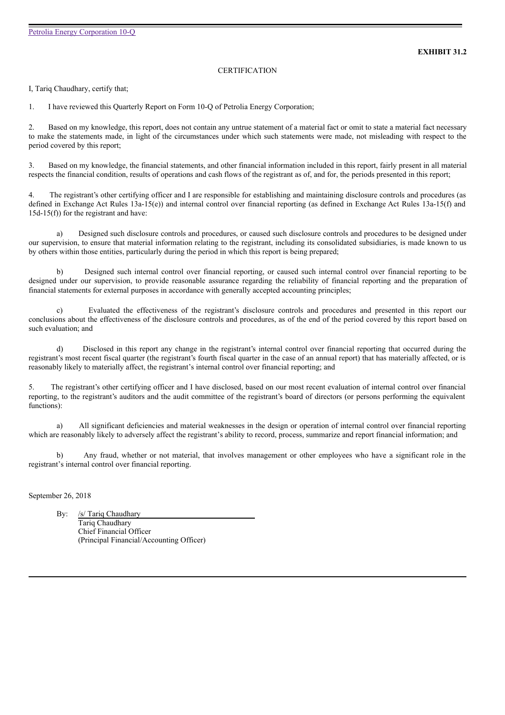# **CERTIFICATION**

I, Tariq Chaudhary, certify that;

1. I have reviewed this Quarterly Report on Form 10-Q of Petrolia Energy Corporation;

2. Based on my knowledge, this report, does not contain any untrue statement of a material fact or omit to state a material fact necessary to make the statements made, in light of the circumstances under which such statements were made, not misleading with respect to the period covered by this report;

3. Based on my knowledge, the financial statements, and other financial information included in this report, fairly present in all material respects the financial condition, results of operations and cash flows of the registrant as of, and for, the periods presented in this report;

4. The registrant's other certifying officer and I are responsible for establishing and maintaining disclosure controls and procedures (as defined in Exchange Act Rules 13a-15(e)) and internal control over financial reporting (as defined in Exchange Act Rules 13a-15(f) and 15d-15(f)) for the registrant and have:

a) Designed such disclosure controls and procedures, or caused such disclosure controls and procedures to be designed under our supervision, to ensure that material information relating to the registrant, including its consolidated subsidiaries, is made known to us by others within those entities, particularly during the period in which this report is being prepared;

b) Designed such internal control over financial reporting, or caused such internal control over financial reporting to be designed under our supervision, to provide reasonable assurance regarding the reliability of financial reporting and the preparation of financial statements for external purposes in accordance with generally accepted accounting principles;

c) Evaluated the effectiveness of the registrant's disclosure controls and procedures and presented in this report our conclusions about the effectiveness of the disclosure controls and procedures, as of the end of the period covered by this report based on such evaluation; and

d) Disclosed in this report any change in the registrant's internal control over financial reporting that occurred during the registrant's most recent fiscal quarter (the registrant's fourth fiscal quarter in the case of an annual report) that has materially affected, or is reasonably likely to materially affect, the registrant's internal control over financial reporting; and

5. The registrant's other certifying officer and I have disclosed, based on our most recent evaluation of internal control over financial reporting, to the registrant's auditors and the audit committee of the registrant's board of directors (or persons performing the equivalent functions):

a) All significant deficiencies and material weaknesses in the design or operation of internal control over financial reporting which are reasonably likely to adversely affect the registrant's ability to record, process, summarize and report financial information; and

b) Any fraud, whether or not material, that involves management or other employees who have a significant role in the registrant's internal control over financial reporting.

September 26, 2018

By: /s/ Tariq Chaudhary Tariq Chaudhary Chief Financial Officer (Principal Financial/Accounting Officer)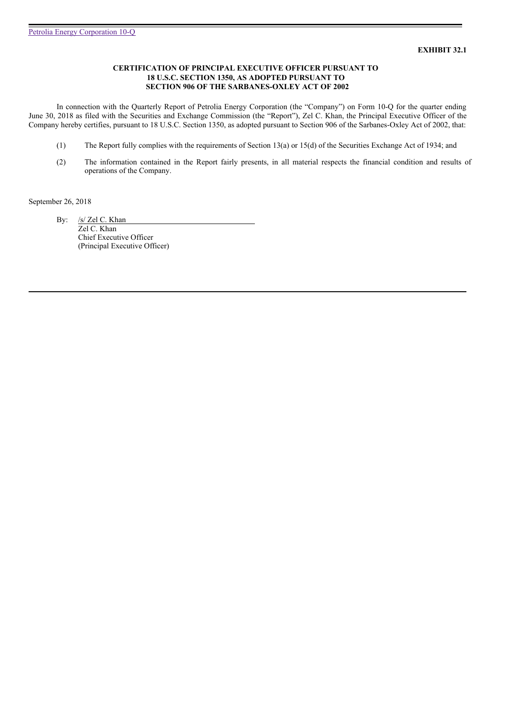#### **CERTIFICATION OF PRINCIPAL EXECUTIVE OFFICER PURSUANT TO 18 U.S.C. SECTION 1350, AS ADOPTED PURSUANT TO SECTION 906 OF THE SARBANES-OXLEY ACT OF 2002**

In connection with the Quarterly Report of Petrolia Energy Corporation (the "Company") on Form 10-Q for the quarter ending June 30, 2018 as filed with the Securities and Exchange Commission (the "Report"), Zel C. Khan, the Principal Executive Officer of the Company hereby certifies, pursuant to 18 U.S.C. Section 1350, as adopted pursuant to Section 906 of the Sarbanes-Oxley Act of 2002, that:

- (1) The Report fully complies with the requirements of Section 13(a) or 15(d) of the Securities Exchange Act of 1934; and
- (2) The information contained in the Report fairly presents, in all material respects the financial condition and results of operations of the Company.

September 26, 2018

By: /s/ Zel C. Khan Zel C. Khan Chief Executive Officer (Principal Executive Officer)